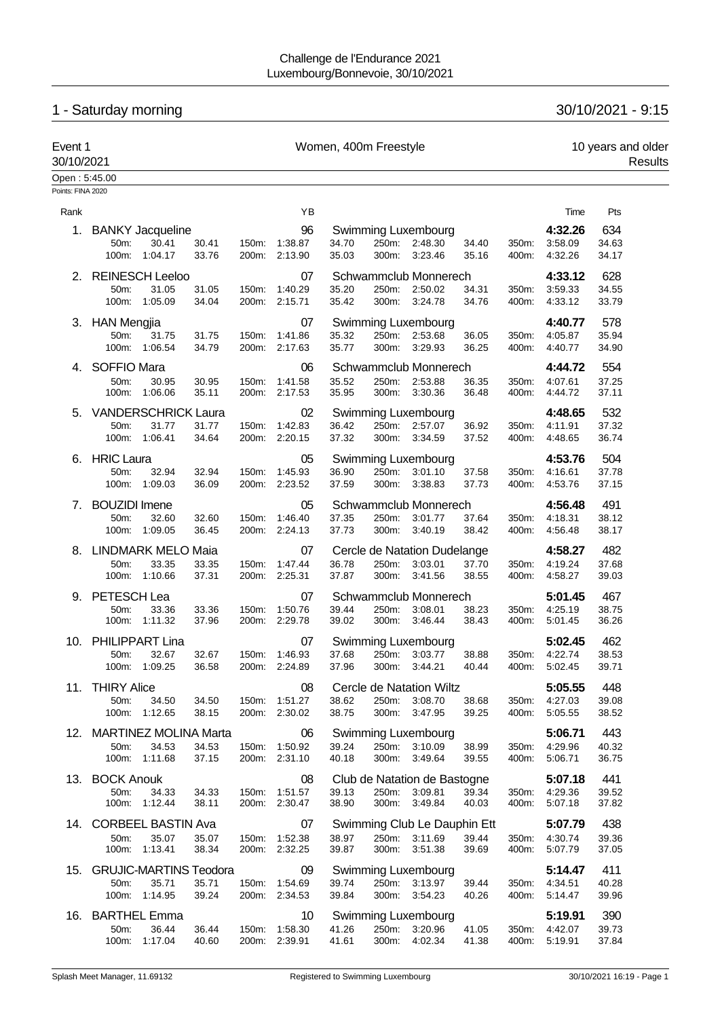# 1 - Saturday morning 30/10/2021 - 9:15

| Event 1<br>30/10/2021 |                                       |                                                         |                | Women, 400m Freestyle |                                      |                |                |                                                          |                |                | 10 years and older<br>Results |                       |  |
|-----------------------|---------------------------------------|---------------------------------------------------------|----------------|-----------------------|--------------------------------------|----------------|----------------|----------------------------------------------------------|----------------|----------------|-------------------------------|-----------------------|--|
| Open: 5:45.00         |                                       |                                                         |                |                       |                                      |                |                |                                                          |                |                |                               |                       |  |
| Points: FINA 2020     |                                       |                                                         |                |                       |                                      |                |                |                                                          |                |                |                               |                       |  |
| Rank                  |                                       |                                                         |                |                       | ΥB                                   |                |                |                                                          |                |                | Time                          | Pts                   |  |
| 1.                    | 50m:<br>100m:                         | <b>BANKY Jacqueline</b><br>30.41<br>1:04.17             | 30.41<br>33.76 | 150m:<br>200m:        | 96<br>1:38.87<br>2:13.90             | 34.70<br>35.03 | 250m:<br>300m: | Swimming Luxembourg<br>2:48.30<br>3:23.46                | 34.40<br>35.16 | 350m:<br>400m: | 4:32.26<br>3:58.09<br>4:32.26 | 634<br>34.63<br>34.17 |  |
| 2.                    |                                       | <b>REINESCH Leeloo</b>                                  |                |                       | 07                                   |                |                | Schwammclub Monnerech                                    |                |                | 4:33.12                       | 628                   |  |
|                       | 50m:<br>100m:                         | 31.05<br>1:05.09                                        | 31.05<br>34.04 | 150m:<br>200m:        | 1:40.29<br>2:15.71                   | 35.20<br>35.42 | 250m:<br>300m: | 2:50.02<br>3:24.78                                       | 34.31<br>34.76 | 350m:<br>400m: | 3:59.33<br>4:33.12            | 34.55<br>33.79        |  |
| 3.                    | <b>HAN Mengjia</b><br>50m:<br>100m:   | 31.75<br>1:06.54                                        | 31.75<br>34.79 | 150m:<br>200m:        | 07<br>1:41.86<br>2:17.63             | 35.32<br>35.77 | 250m:<br>300m: | Swimming Luxembourg<br>2:53.68<br>3:29.93                | 36.05<br>36.25 | 350m:<br>400m: | 4:40.77<br>4:05.87<br>4:40.77 | 578<br>35.94<br>34.90 |  |
| 4.                    | SOFFIO Mara                           |                                                         |                |                       | 06                                   |                |                | Schwammclub Monnerech                                    |                |                | 4:44.72                       | 554                   |  |
|                       | 50m:<br>100m:                         | 30.95<br>1:06.06                                        | 30.95<br>35.11 | 150m:<br>200m:        | 1:41.58<br>2:17.53                   | 35.52<br>35.95 | 250m:<br>300m: | 2:53.88<br>3:30.36                                       | 36.35<br>36.48 | 350m:<br>400m: | 4:07.61<br>4:44.72            | 37.25<br>37.11        |  |
| 5.                    | 50m:<br>100m:                         | <b>VANDERSCHRICK Laura</b><br>31.77<br>1:06.41          | 31.77<br>34.64 | 150m:<br>200m:        | 02<br>1:42.83<br>2:20.15             | 36.42<br>37.32 | 250m:<br>300m: | Swimming Luxembourg<br>2:57.07<br>3:34.59                | 36.92<br>37.52 | 350m:<br>400m: | 4:48.65<br>4:11.91<br>4:48.65 | 532<br>37.32<br>36.74 |  |
| 6.                    | <b>HRIC Laura</b><br>50m:<br>100m:    | 32.94<br>1:09.03                                        | 32.94<br>36.09 | 150m:                 | 05<br>1:45.93<br>200m: 2:23.52       | 36.90<br>37.59 | 250m:<br>300m: | Swimming Luxembourg<br>3:01.10<br>3:38.83                | 37.58<br>37.73 | 350m:<br>400m: | 4:53.76<br>4:16.61<br>4:53.76 | 504<br>37.78<br>37.15 |  |
| 7.                    | <b>BOUZIDI</b> Imene<br>50m:<br>100m: | 32.60<br>1:09.05                                        | 32.60<br>36.45 | 150m:<br>200m:        | 05<br>1:46.40<br>2:24.13             | 37.35<br>37.73 | 250m:<br>300m: | Schwammclub Monnerech<br>3:01.77<br>3:40.19              | 37.64<br>38.42 | 350m:<br>400m: | 4:56.48<br>4:18.31<br>4:56.48 | 491<br>38.12<br>38.17 |  |
| 8.                    |                                       | <b>LINDMARK MELO Maia</b>                               |                |                       | 07                                   |                |                | Cercle de Natation Dudelange                             |                |                | 4:58.27                       | 482                   |  |
|                       | 50m:<br>100m:                         | 33.35<br>1:10.66                                        | 33.35<br>37.31 | 150m:<br>200m:        | 1.47.44<br>2:25.31                   | 36.78<br>37.87 | 250m:<br>300m: | 3:03.01<br>3:41.56                                       | 37.70<br>38.55 | 350m:<br>400m: | 4:19.24<br>4:58.27            | 37.68<br>39.03        |  |
| 9.                    | PETESCH Lea<br>50m:<br>100m:          | 33.36<br>1:11.32                                        | 33.36<br>37.96 | 150m:                 | 07<br>1:50.76<br>200m: 2:29.78       | 39.44<br>39.02 | 250m:<br>300m: | Schwammclub Monnerech<br>3:08.01<br>3:46.44              | 38.23<br>38.43 | 350m:<br>400m: | 5:01.45<br>4:25.19<br>5:01.45 | 467<br>38.75<br>36.26 |  |
| 10.                   | 50m:<br>100m:                         | PHILIPPART Lina<br>32.67<br>1:09.25                     | 32.67<br>36.58 | 150m:<br>200m:        | 07<br>1:46.93<br>2:24.89             | 37.68<br>37.96 | 250m:<br>300m: | Swimming Luxembourg<br>3:03.77<br>3:44.21                | 38.88<br>40.44 | 350m:<br>400m: | 5:02.45<br>4:22.74<br>5:02.45 | 462<br>38.53<br>39.71 |  |
|                       | 11. THIRY Alice<br>50m:<br>100m:      | 34.50<br>1:12.65                                        | 34.50<br>38.15 |                       | 08<br>150m: 1:51.27<br>200m: 2:30.02 | 38.62<br>38.75 | 250m:<br>300m: | Cercle de Natation Wiltz<br>3:08.70<br>3:47.95           | 38.68<br>39.25 | 350m:<br>400m: | 5:05.55<br>4:27.03<br>5:05.55 | 448<br>39.08<br>38.52 |  |
|                       | 50m:                                  | 12. MARTINEZ MOLINA Marta<br>34.53<br>100m: 1:11.68     | 34.53<br>37.15 |                       | 06<br>150m: 1:50.92<br>200m: 2:31.10 | 39.24<br>40.18 | 250m:<br>300m: | <b>Swimming Luxembourg</b><br>3:10.09<br>3:49.64         | 38.99<br>39.55 | 350m:<br>400m: | 5:06.71<br>4:29.96<br>5:06.71 | 443<br>40.32<br>36.75 |  |
|                       | 13. BOCK Anouk<br>50m:                | 34.33<br>100m: 1:12.44                                  | 34.33<br>38.11 | 150m:                 | 08<br>1:51.57<br>200m: 2:30.47       | 39.13<br>38.90 | 250m:          | Club de Natation de Bastogne<br>3:09.81<br>300m: 3:49.84 | 39.34<br>40.03 | 350m.<br>400m: | 5:07.18<br>4:29.36<br>5:07.18 | 441<br>39.52<br>37.82 |  |
| 14.                   | 50m:                                  | <b>CORBEEL BASTIN Ava</b><br>35.07<br>100m: 1:13.41     | 35.07<br>38.34 |                       | 07<br>150m: 1:52.38<br>200m: 2:32.25 | 38.97<br>39.87 | 250m:<br>300m: | Swimming Club Le Dauphin Ett<br>3:11.69<br>3:51.38       | 39.44<br>39.69 | 350m:<br>400m: | 5:07.79<br>4:30.74<br>5:07.79 | 438<br>39.36<br>37.05 |  |
| 15.                   | 50m:                                  | <b>GRUJIC-MARTINS Teodora</b><br>35.71<br>100m: 1:14.95 | 35.71<br>39.24 | 150m:                 | 09<br>1:54.69<br>200m: 2:34.53       | 39.74<br>39.84 | 300m:          | Swimming Luxembourg<br>250m: 3:13.97<br>3:54.23          | 39.44<br>40.26 | 350m:<br>400m: | 5:14.47<br>4:34.51<br>5:14.47 | 411<br>40.28<br>39.96 |  |
|                       | 16. BARTHEL Emma<br>50m:<br>100m:     | 36.44<br>1:17.04                                        | 36.44<br>40.60 | 150m:<br>200m:        | 10<br>1:58.30<br>2:39.91             | 41.26<br>41.61 | 250m:<br>300m: | Swimming Luxembourg<br>3:20.96<br>4:02.34                | 41.05<br>41.38 | 350m:<br>400m: | 5:19.91<br>4:42.07<br>5:19.91 | 390<br>39.73<br>37.84 |  |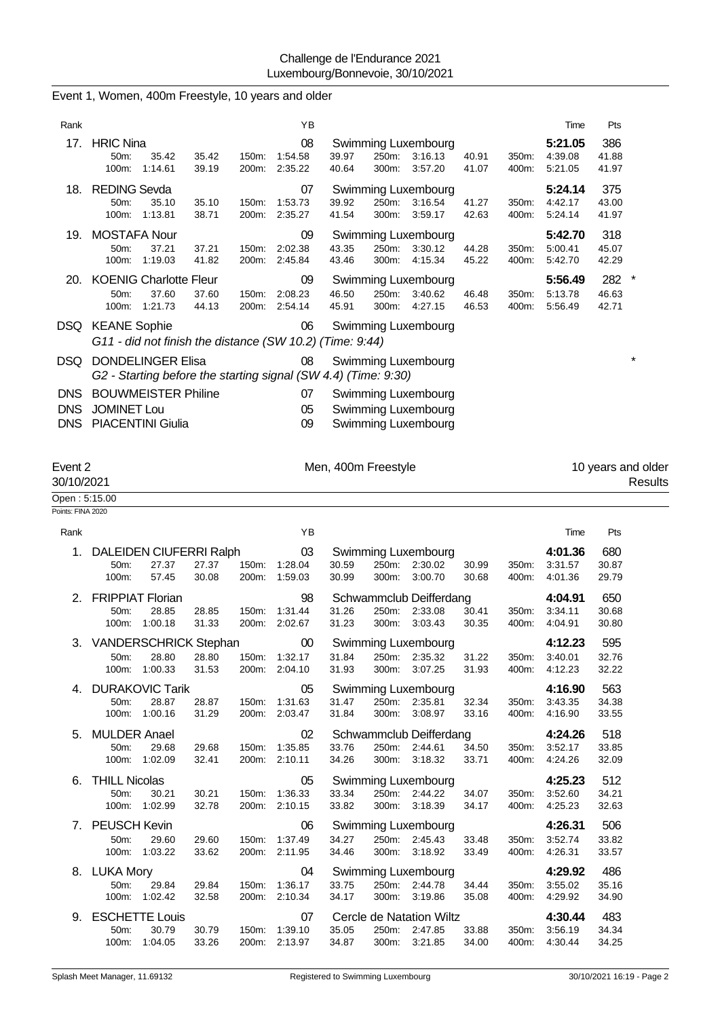|                                    | Event 1, Women, 400m Freestyle, 10 years and older                                         |                                  |                                          |                                                                                                     |                |                                     |                                  |
|------------------------------------|--------------------------------------------------------------------------------------------|----------------------------------|------------------------------------------|-----------------------------------------------------------------------------------------------------|----------------|-------------------------------------|----------------------------------|
| Rank                               |                                                                                            |                                  | YB                                       |                                                                                                     |                | Time                                | Pts                              |
|                                    | 17. HRIC Nina<br>50m:<br>35.42<br>100m:<br>1:14.61                                         | 35.42<br>150m:<br>39.19<br>200m: | 08<br>1:54.58<br>2:35.22                 | Swimming Luxembourg<br>39.97<br>250m:<br>3:16.13<br>40.91<br>40.64<br>300m:<br>3:57.20<br>41.07     | 350m:<br>400m: | 5:21.05<br>4:39.08<br>5:21.05       | 386<br>41.88<br>41.97            |
| 18.                                | <b>REDING Sevda</b><br>35.10<br>50m:<br>100m:<br>1:13.81                                   | 35.10<br>150m:<br>38.71<br>200m: | 07<br>1:53.73<br>2:35.27                 | Swimming Luxembourg<br>39.92<br>250m:<br>3:16.54<br>41.27<br>41.54<br>300m:<br>3:59.17<br>42.63     | 350m:<br>400m: | 5:24.14<br>4:42.17<br>5:24.14       | 375<br>43.00<br>41.97            |
| 19.                                | <b>MOSTAFA Nour</b><br>50m:<br>37.21<br>1:19.03<br>100m:                                   | 37.21<br>150m:<br>41.82<br>200m: | 09<br>2:02.38<br>2:45.84                 | Swimming Luxembourg<br>43.35<br>250m:<br>3:30.12<br>44.28<br>43.46<br>300m:<br>4:15.34<br>45.22     | 350m:<br>400m: | 5:42.70<br>5:00.41<br>5:42.70       | 318<br>45.07<br>42.29            |
| 20.                                | <b>KOENIG Charlotte Fleur</b><br>50m:<br>37.60<br>100m:<br>1:21.73                         | 37.60<br>150m:<br>44.13<br>200m: | 09<br>2:08.23<br>2:54.14                 | Swimming Luxembourg<br>46.50<br>250m:<br>3:40.62<br>46.48<br>300m:<br>45.91<br>4.27.15<br>46.53     | 350m:<br>400m: | 5:56.49<br>5:13.78<br>5:56.49       | 282<br>$\star$<br>46.63<br>42.71 |
|                                    | DSQ KEANE Sophie<br>G11 - did not finish the distance (SW 10.2) (Time: 9:44)               |                                  | 06                                       | Swimming Luxembourg                                                                                 |                |                                     |                                  |
| DSQ.                               | <b>DONDELINGER Elisa</b><br>G2 - Starting before the starting signal (SW 4.4) (Time: 9:30) |                                  | 08                                       | Swimming Luxembourg                                                                                 |                |                                     | $\star$                          |
| <b>DNS</b><br><b>DNS</b><br>DNS    | <b>BOUWMEISTER Philine</b><br><b>JOMINET Lou</b><br><b>PIACENTINI Giulia</b>               |                                  | 07<br>05<br>09                           | Swimming Luxembourg<br>Swimming Luxembourg<br>Swimming Luxembourg                                   |                |                                     |                                  |
| Event 2<br>30/10/2021              |                                                                                            |                                  |                                          | Men, 400m Freestyle                                                                                 |                |                                     | 10 years and older<br>Results    |
| Open: 5:15.00<br>Points: FINA 2020 |                                                                                            |                                  |                                          |                                                                                                     |                |                                     |                                  |
| Rank                               |                                                                                            |                                  | YB                                       |                                                                                                     |                | Time                                | Pts                              |
| 1.                                 | DALEIDEN CIUFERRI Ralph                                                                    |                                  | 03                                       | Swimming Luxembourg                                                                                 |                | 4:01.36                             | 680                              |
|                                    | 27.37<br>50m:<br>100m:<br>57.45                                                            | 27.37<br>150m:<br>30.08<br>200m: | 1:28.04<br>1:59.03                       | 30.59<br>250m:<br>2:30.02<br>30.99<br>30.99<br>300m:<br>3:00.70<br>30.68                            | 350m:<br>400m: | 3:31.57<br>4:01.36                  | 30.87<br>29.79                   |
| 2.                                 | <b>FRIPPIAT Florian</b><br>28.85<br>50m:<br>100m:<br>1:00.18                               | 28.85<br>150m:<br>31.33<br>200m: | 98<br>1:31.44<br>2:02.67                 | Schwammclub Deifferdang<br>31.26<br>250m:<br>2:33.08<br>30.41<br>31.23<br>300m:<br>3:03.43<br>30.35 | 350m:<br>400m: | 4:04.91<br>3:34.11<br>4.04.91       | 650<br>30.68<br>30.80            |
|                                    | 3. VANDERSCHRICK Stephan<br>28.80<br>50m:<br>100m:<br>1:00.33                              | 28.80<br>31.53                   | $00\,$<br>150m: 1:32.17<br>200m: 2:04.10 | Swimming Luxembourg<br>250m: 2:35.32<br>31.84<br>31.22<br>31.93<br>300m:<br>3:07.25<br>31.93        | 350m:<br>400m: | 4:12.23<br>3:40.01<br>4:12.23       | 595<br>32.76<br>32.22            |
|                                    | 4. DURAKOVIC Tarik<br>50m:<br>28.87<br>1:00.16<br>100m:                                    | 28.87<br>31.29<br>200m:          | 05<br>150m: 1:31.63<br>2:03.47           | Swimming Luxembourg<br>31.47<br>250m: 2:35.81<br>32.34<br>31.84<br>300m:<br>3:08.97<br>33.16        | 350m:<br>400m: | 4:16.90<br>3:43.35<br>4:16.90       | 563<br>34.38<br>33.55            |
|                                    | 5. MULDER Anael<br>29.68<br>50m:<br>100m: 1:02.09                                          | 29.68<br>32.41                   | 02<br>150m: 1:35.85<br>200m: 2:10.11     | Schwammclub Deifferdang<br>33.76<br>250m: 2:44.61<br>34.50<br>34.26<br>300m: 3:18.32<br>33.71       | 400m:          | 4:24.26<br>350m: 3:52.17<br>4:24.26 | 518<br>33.85<br>32.09            |
| 6.                                 | <b>THILL Nicolas</b><br>50m:<br>30.21<br>100m: 1:02.99                                     | 30.21<br>150m:<br>32.78          | 05<br>1:36.33<br>200m: 2:10.15           | <b>Swimming Luxembourg</b><br>33.34<br>250m: 2:44.22<br>34.07<br>33.82<br>300m: 3:18.39<br>34.17    | 350m:<br>400m: | 4:25.23<br>3:52.60<br>4:25.23       | 512<br>34.21<br>32.63            |
|                                    | 7. PEUSCH Kevin<br>50m:<br>29.60<br>1:03.22<br>100m:                                       | 29.60<br>150m:<br>33.62          | 06<br>1:37.49<br>200m: 2:11.95           | Swimming Luxembourg<br>34.27<br>250m: 2:45.43<br>33.48<br>34.46<br>300m: 3:18.92<br>33.49           | 350m:<br>400m: | 4:26.31<br>3:52.74<br>4:26.31       | 506<br>33.82<br>33.57            |
|                                    | 8. LUKA Mory<br>29.84<br>50m:<br>1:02.42<br>100m:                                          | 29.84<br>150m:<br>32.58          | 04<br>1:36.17<br>200m: 2:10.34           | Swimming Luxembourg<br>250m: 2:44.78<br>33.75<br>34.44<br>300m: 3:19.86<br>34.17<br>35.08           | 350m:<br>400m: | 4:29.92<br>3:55.02<br>4:29.92       | 486<br>35.16<br>34.90            |
|                                    | 9. ESCHETTE Louis<br>30.79<br>50m:                                                         | 30.79                            | 07<br>150m: 1:39.10                      | Cercle de Natation Wiltz<br>35.05<br>250m: 2:47.85<br>33.88                                         |                | 4:30.44<br>350m: 3:56.19            | 483<br>34.34                     |

100m: 1:04.05 33.26 200m: 2:13.97 34.87 300m: 3:21.85 34.00 400m: 4:30.44 34.25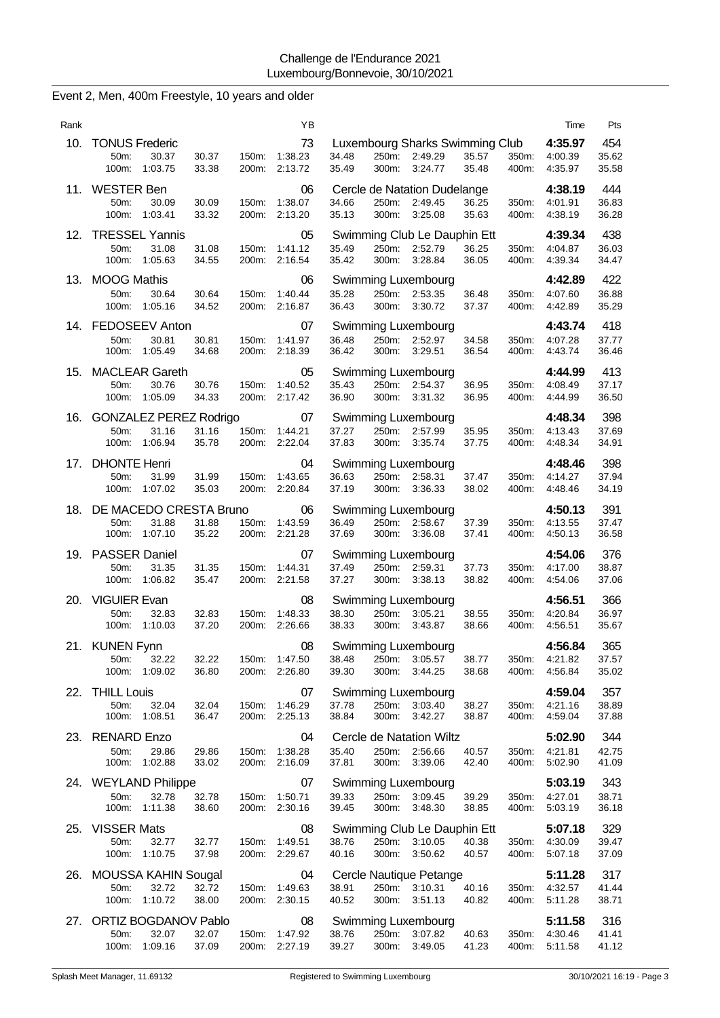| Rank |                                                                 |                |                | ΥB                                   |                |                |                                                       |                |                | Time                                | Pts                   |
|------|-----------------------------------------------------------------|----------------|----------------|--------------------------------------|----------------|----------------|-------------------------------------------------------|----------------|----------------|-------------------------------------|-----------------------|
| 10.  | <b>TONUS Frederic</b><br>30.37<br>50m:<br>1:03.75<br>100m:      | 30.37<br>33.38 | 150m:<br>200m: | 73<br>1:38.23<br>2:13.72             | 34.48<br>35.49 | 250m:<br>300m: | Luxembourg Sharks Swimming Club<br>2:49.29<br>3:24.77 | 35.57<br>35.48 | 350m:<br>400m: | 4:35.97<br>4:00.39<br>4:35.97       | 454<br>35.62<br>35.58 |
| 11.  | <b>WESTER Ben</b><br>50m:<br>30.09<br>100m:<br>1:03.41          | 30.09<br>33.32 | 150m:<br>200m: | 06<br>1:38.07<br>2:13.20             | 34.66<br>35.13 | 250m:<br>300m: | Cercle de Natation Dudelange<br>2:49.45<br>3:25.08    | 36.25<br>35.63 | 350m:<br>400m: | 4:38.19<br>4:01.91<br>4:38.19       | 444<br>36.83<br>36.28 |
| 12.  | <b>TRESSEL Yannis</b><br>50m:<br>31.08<br>100m:<br>1:05.63      | 31.08<br>34.55 | 150m:<br>200m: | 05<br>1:41.12<br>2:16.54             | 35.49<br>35.42 | 250m:<br>300m: | Swimming Club Le Dauphin Ett<br>2:52.79<br>3:28.84    | 36.25<br>36.05 | 350m:<br>400m: | 4:39.34<br>4:04.87<br>4:39.34       | 438<br>36.03<br>34.47 |
| 13.  | <b>MOOG Mathis</b><br>50m:<br>30.64<br>100m:<br>1:05.16         | 30.64<br>34.52 | 150m:<br>200m: | 06<br>1:40.44<br>2:16.87             | 35.28<br>36.43 | 250m:<br>300m: | Swimming Luxembourg<br>2:53.35<br>3:30.72             | 36.48<br>37.37 | 350m:<br>400m: | 4:42.89<br>4:07.60<br>4:42.89       | 422<br>36.88<br>35.29 |
|      | 14. FEDOSEEV Anton<br>50m:<br>30.81<br>100m:<br>1:05.49         | 30.81<br>34.68 | 150m:<br>200m: | 07<br>1:41.97<br>2:18.39             | 36.48<br>36.42 | 250m:<br>300m: | Swimming Luxembourg<br>2:52.97<br>3:29.51             | 34.58<br>36.54 | 350m:<br>400m. | 4:43.74<br>4:07.28<br>4:43.74       | 418<br>37.77<br>36.46 |
| 15.  | <b>MACLEAR Gareth</b><br>50m:<br>30.76<br>100m:<br>1:05.09      | 30.76<br>34.33 | 150m:<br>200m: | 05<br>1:40.52<br>2:17.42             | 35.43<br>36.90 | 250m:<br>300m: | Swimming Luxembourg<br>2:54.37<br>3:31.32             | 36.95<br>36.95 | 350m:<br>400m: | 4:44.99<br>4:08.49<br>4:44.99       | 413<br>37.17<br>36.50 |
| 16.  | GONZALEZ PEREZ Rodrigo<br>31.16<br>50m:<br>100m:<br>1:06.94     | 31.16<br>35.78 | 150m:<br>200m: | 07<br>1:44.21<br>2:22.04             | 37.27<br>37.83 | 250m:<br>300m: | Swimming Luxembourg<br>2:57.99<br>3:35.74             | 35.95<br>37.75 | 350m:<br>400m: | 4:48.34<br>4:13.43<br>4:48.34       | 398<br>37.69<br>34.91 |
| 17.  | <b>DHONTE Henri</b><br>50m:<br>31.99<br>100m:<br>1:07.02        | 31.99<br>35.03 | 150m:<br>200m: | 04<br>1:43.65<br>2:20.84             | 36.63<br>37.19 | 250m:<br>300m: | Swimming Luxembourg<br>2:58.31<br>3:36.33             | 37.47<br>38.02 | 350m:<br>400m: | 4:48.46<br>4:14.27<br>4:48.46       | 398<br>37.94<br>34.19 |
| 18.  | DE MACEDO CRESTA Bruno<br>31.88<br>50m:<br>100m:<br>1:07.10     | 31.88<br>35.22 | 150m:<br>200m: | 06<br>1:43.59<br>2:21.28             | 36.49<br>37.69 | 250m:<br>300m: | Swimming Luxembourg<br>2:58.67<br>3:36.08             | 37.39<br>37.41 | 350m:<br>400m: | 4:50.13<br>4:13.55<br>4:50.13       | 391<br>37.47<br>36.58 |
| 19.  | <b>PASSER Daniel</b><br>50m:<br>31.35<br>100m:<br>1:06.82       | 31.35<br>35.47 | 150m:<br>200m: | 07<br>1:44.31<br>2:21.58             | 37.49<br>37.27 | 250m:<br>300m: | Swimming Luxembourg<br>2:59.31<br>3:38.13             | 37.73<br>38.82 | 350m:<br>400m: | 4:54.06<br>4:17.00<br>4:54.06       | 376<br>38.87<br>37.06 |
| 20.  | <b>VIGUIER Evan</b><br>32.83<br>50m:<br>100m:<br>1:10.03        | 32.83<br>37.20 | 150m:<br>200m: | 08<br>1:48.33<br>2:26.66             | 38.30<br>38.33 | 250m:<br>300m: | Swimming Luxembourg<br>3:05.21<br>3:43.87             | 38.55<br>38.66 | 350m:<br>400m: | 4:56.51<br>4:20.84<br>4:56.51       | 366<br>36.97<br>35.67 |
|      | 21. KUNEN Fynn<br>50m:<br>32.22<br>100m: 1:09.02                | 32.22<br>36.80 | 150m:          | 08<br>1:47.50<br>200m: 2:26.80       | 38.48<br>39.30 | 250m:<br>300m: | Swimming Luxembourg<br>3:05.57<br>3:44.25             | 38.77<br>38.68 | 350m:<br>400m: | 4:56.84<br>4:21.82<br>4:56.84       | 365<br>37.57<br>35.02 |
| 22.  | <b>THILL Louis</b><br>50m:<br>32.04<br>100m: 1:08.51            | 32.04<br>36.47 | 150m:          | 07<br>1:46.29<br>200m: 2:25.13       | 37.78<br>38.84 | 250m:<br>300m: | Swimming Luxembourg<br>3:03.40<br>3:42.27             | 38.27<br>38.87 | 350m:<br>400m: | 4:59.04<br>4:21.16<br>4:59.04       | 357<br>38.89<br>37.88 |
|      | 23. RENARD Enzo<br>50m:<br>29.86<br>100m:<br>1:02.88            | 29.86<br>33.02 | 150m:          | 04<br>1:38.28<br>200m: 2:16.09       | 35.40<br>37.81 | 300m:          | Cercle de Natation Wiltz<br>250m: 2:56.66<br>3:39.06  | 40.57<br>42.40 | 350m:<br>400m: | 5:02.90<br>4:21.81<br>5:02.90       | 344<br>42.75<br>41.09 |
|      | 24. WEYLAND Philippe<br>50m:<br>32.78<br>100m:<br>1:11.38       | 32.78<br>38.60 | 150m:<br>200m: | 07<br>1:50.71<br>2:30.16             | 39.33<br>39.45 | 250m:<br>300m: | Swimming Luxembourg<br>3:09.45<br>3:48.30             | 39.29<br>38.85 | 350m:<br>400m: | 5:03.19<br>4:27.01<br>5:03.19       | 343<br>38.71<br>36.18 |
| 25.  | <b>VISSER Mats</b><br>50m:<br>32.77<br>100m: 1:10.75            | 32.77<br>37.98 | 150m:          | 08<br>1:49.51<br>200m: 2:29.67       | 38.76<br>40.16 | 250m:<br>300m: | Swimming Club Le Dauphin Ett<br>3:10.05<br>3:50.62    | 40.38<br>40.57 | 350m:<br>400m: | 5:07.18<br>4:30.09<br>5:07.18       | 329<br>39.47<br>37.09 |
| 26.  | <b>MOUSSA KAHIN Sougal</b><br>50m:<br>32.72<br>100m:<br>1:10.72 | 32.72<br>38.00 |                | 04<br>150m: 1:49.63<br>200m: 2:30.15 | 38.91<br>40.52 | 300m:          | Cercle Nautique Petange<br>250m: 3:10.31<br>3:51.13   | 40.16<br>40.82 | 350m:<br>400m: | 5:11.28<br>4:32.57<br>5:11.28       | 317<br>41.44<br>38.71 |
| 27.  | ORTIZ BOGDANOV Pablo<br>32.07<br>50m:<br>100m: 1:09.16          | 32.07<br>37.09 |                | 08<br>150m: 1:47.92<br>200m: 2:27.19 | 38.76<br>39.27 | 250m:          | Swimming Luxembourg<br>3:07.82<br>300m: 3:49.05       | 40.63<br>41.23 | 350m:          | 5:11.58<br>4:30.46<br>400m: 5:11.58 | 316<br>41.41<br>41.12 |

Event 2, Men, 400m Freestyle, 10 years and older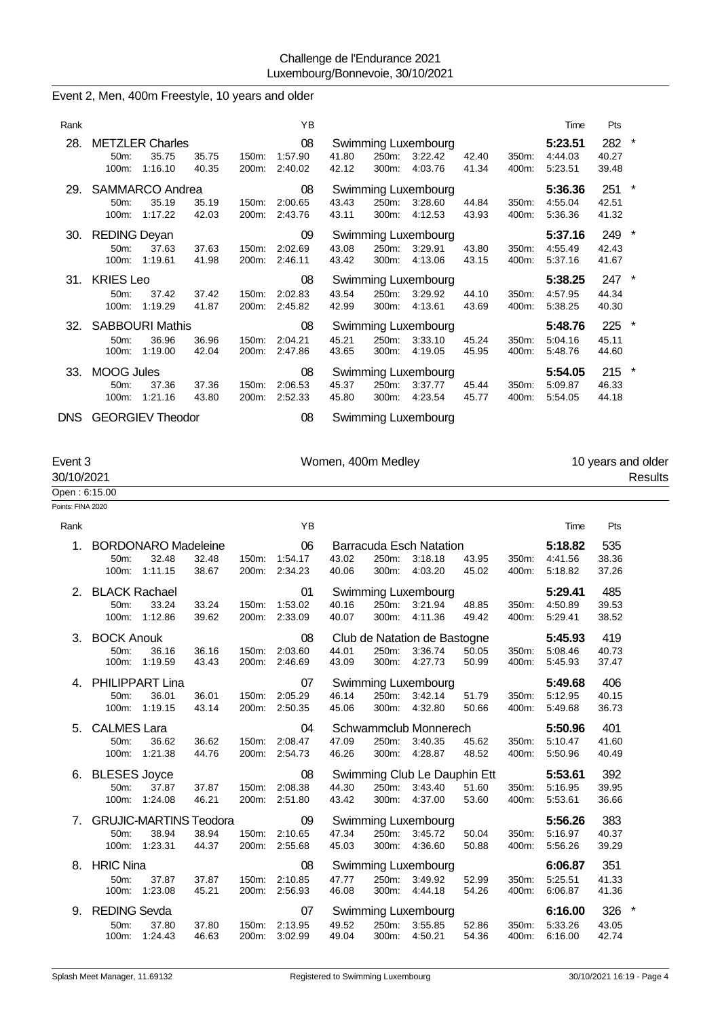### Event 2, Men, 400m Freestyle, 10 years and older

| Rank |                                            |                                            |                |                   | ΥB                       |                |                |                                           |                |                | Time                          | Pts                       |         |
|------|--------------------------------------------|--------------------------------------------|----------------|-------------------|--------------------------|----------------|----------------|-------------------------------------------|----------------|----------------|-------------------------------|---------------------------|---------|
| 28.  | $50m$ :<br>$100m$ :                        | <b>METZLER Charles</b><br>35.75<br>1:16.10 | 35.75<br>40.35 | $150m$ :<br>200m: | 08<br>1:57.90<br>2:40.02 | 41.80<br>42.12 | 250m:<br>300m: | Swimming Luxembourg<br>3:22.42<br>4:03.76 | 42.40<br>41.34 | 350m:<br>400m: | 5:23.51<br>4:44.03<br>5:23.51 | 282<br>40.27<br>39.48     | $\star$ |
| 29.  | $50m$ :<br>$100m$ :                        | SAMMARCO Andrea<br>35.19<br>1:17.22        | 35.19<br>42.03 | 150m:<br>200m:    | 08<br>2:00.65<br>2:43.76 | 43.43<br>43.11 | 250m:<br>300m: | Swimming Luxembourg<br>3:28.60<br>4:12.53 | 44.84<br>43.93 | 350m:<br>400m: | 5:36.36<br>4:55.04<br>5:36.36 | 251<br>42.51<br>41.32     | $\star$ |
| 30.  | <b>REDING Deyan</b><br>50m:<br>100m:       | 37.63<br>1:19.61                           | 37.63<br>41.98 | $150m$ :<br>200m: | 09<br>2:02.69<br>2:46.11 | 43.08<br>43.42 | 250m:<br>300m: | Swimming Luxembourg<br>3:29.91<br>4:13.06 | 43.80<br>43.15 | 350m:<br>400m: | 5:37.16<br>4:55.49<br>5.37.16 | 249<br>42.43<br>41.67     | $\star$ |
|      | 31. KRIES Leo<br>$50m$ :<br>$100m$ :       | 37.42<br>1:19.29                           | 37.42<br>41.87 | 150m:<br>200m:    | 08<br>2:02.83<br>2:45.82 | 43.54<br>42.99 | 250m:<br>300m: | Swimming Luxembourg<br>3:29.92<br>4:13.61 | 44.10<br>43.69 | 350m:<br>400m: | 5:38.25<br>4:57.95<br>5.38.25 | $247$ *<br>44.34<br>40.30 |         |
| 32.  | <b>SABBOURI Mathis</b><br>$50m$ :<br>100m: | 36.96<br>1:19.00                           | 36.96<br>42.04 | 150m:<br>200m:    | 08<br>2:04.21<br>2:47.86 | 45.21<br>43.65 | 250m:<br>300m: | Swimming Luxembourg<br>3:33.10<br>4:19.05 | 45.24<br>45.95 | 350m:<br>400m: | 5:48.76<br>5:04.16<br>5:48.76 | 225<br>45.11<br>44.60     | $\star$ |
| 33.  | <b>MOOG Jules</b><br>50m<br>100m:          | 37.36<br>1:21.16                           | 37.36<br>43.80 | 150m:<br>200m:    | 08<br>2:06.53<br>2:52.33 | 45.37<br>45.80 | 250m:<br>300m: | Swimming Luxembourg<br>3:37.77<br>4:23.54 | 45.44<br>45.77 | 350m:<br>400m: | 5:54.05<br>5:09.87<br>5:54.05 | $215$ *<br>46.33<br>44.18 |         |

DNS GEORGIEV Theodor 08 Swimming Luxembourg

Points: FINA 2020

Event 3 **Event 3** Women, 400m Medley **10** years and older

| _____         | <b>TOURNATION</b> | TV YOUR GIRL ORDE |
|---------------|-------------------|-------------------|
| 30/10/2021    |                   | Results           |
| Open: 6:15.00 |                   |                   |

| Rank                           |                                                                          |                | ΥB                                         | Pts<br>Time                                                                                                                                                                          |
|--------------------------------|--------------------------------------------------------------------------|----------------|--------------------------------------------|--------------------------------------------------------------------------------------------------------------------------------------------------------------------------------------|
| $\mathbf{1}$ .                 | <b>BORDONARO Madeleine</b><br>32.48<br>50m:<br>1:11.15<br>100m:          | 32.48<br>38.67 | 06<br>150m:<br>1:54.17<br>200m:<br>2:34.23 | 535<br>5:18.82<br>Barracuda Esch Natation<br>38.36<br>43.02<br>250m:<br>3:18.18<br>43.95<br>350m:<br>4:41.56<br>40.06<br>300m:<br>4:03.20<br>45.02<br>400m:<br>37.26<br>5:18.82      |
| 2.                             | <b>BLACK Rachael</b><br>33.24<br>50m:<br>100m:<br>1:12.86                | 33.24<br>39.62 | 01<br>150m:<br>1:53.02<br>200m:<br>2:33.09 | 485<br><b>Swimming Luxembourg</b><br>5:29.41<br>39.53<br>40.16<br>250m:<br>3:21.94<br>48.85<br>350m:<br>4:50.89<br>300m:<br>38.52<br>40.07<br>4:11.36<br>49.42<br>400m:<br>5:29.41   |
| 3.                             | <b>BOCK Anouk</b><br>36.16<br>50m:<br>1:19.59<br>100m:                   | 36.16<br>43.43 | 08<br>150m:<br>2:03.60<br>200m:<br>2:46.69 | 419<br>Club de Natation de Bastogne<br>5:45.93<br>50.05<br>40.73<br>44.01<br>250m:<br>3:36.74<br>350m:<br>5:08.46<br>43.09<br>300m:<br>4:27.73<br>50.99<br>400m:<br>37.47<br>5:45.93 |
| 4                              | <b>PHILIPPART Lina</b><br>36.01<br>50 <sub>m</sub> :<br>1:19.15<br>100m: | 36.01<br>43.14 | 07<br>2:05.29<br>150m:<br>2:50.35<br>200m: | 406<br>Swimming Luxembourg<br>5:49.68<br>250m:<br>51.79<br>5:12.95<br>40.15<br>46.14<br>3:42.14<br>350m:<br>45.06<br>300m:<br>4:32.80<br>5:49.68<br>36.73<br>50.66<br>400m:          |
| 5.                             | <b>CALMES Lara</b><br>50 <sub>m</sub> :<br>36.62<br>1:21.38<br>100m:     | 36.62<br>44.76 | 04<br>2:08.47<br>150m:<br>2:54.73<br>200m: | Schwammclub Monnerech<br>5:50.96<br>401<br>47.09<br>250m:<br>3:40.35<br>45.62<br>350m:<br>5:10.47<br>41.60<br>46.26<br>300m:<br>48.52<br>5:50.96<br>40.49<br>4:28.87<br>400m:        |
| 6.                             | <b>BLESES Joyce</b><br>37.87<br>50 <sub>m</sub> :<br>1:24.08<br>100m:    | 37.87<br>46.21 | 08<br>2:08.38<br>150m:<br>2:51.80<br>200m: | Swimming Club Le Dauphin Ett<br>392<br>5:53.61<br>39.95<br>44.30<br>250m:<br>3:43.40<br>51.60<br>350m:<br>5:16.95<br>43.42<br>4:37.00<br>53.60<br>5:53.61<br>36.66<br>300m:<br>400m: |
| $7_{\scriptscriptstyle{\sim}}$ | <b>GRUJIC-MARTINS Teodora</b><br>38.94<br>50m:<br>1:23.31<br>100m:       | 38.94<br>44.37 | 09<br>2:10.65<br>150m:<br>2:55.68<br>200m: | 5:56.26<br>383<br>Swimming Luxembourg<br>47.34<br>250m:<br>5:16.97<br>40.37<br>3:45.72<br>50.04<br>350m:<br>4:36.60<br>39.29<br>45.03<br>300m:<br>50.88<br>400m:<br>5:56.26          |
| 8.                             | <b>HRIC Nina</b><br>37.87<br>50 <sub>m</sub> :<br>1:23.08<br>100m:       | 37.87<br>45.21 | 08<br>150m:<br>2:10.85<br>2:56.93<br>200m: | 351<br>Swimming Luxembourg<br>6:06.87<br>41.33<br>47.77<br>250m:<br>3:49.92<br>52.99<br>350m:<br>5:25.51<br>54.26<br>41.36<br>46.08<br>300m:<br>4:44.18<br>400m:<br>6:06.87          |
| 9.                             | <b>REDING Sevda</b><br>37.80<br>50 <sub>m</sub> :<br>1:24.43<br>100m:    | 37.80<br>46.63 | 07<br>2:13.95<br>150m:<br>200m:<br>3:02.99 | 326<br>*<br>Swimming Luxembourg<br>6:16.00<br>49.52<br>250m:<br>3:55.85<br>52.86<br>5:33.26<br>43.05<br>350m:<br>49.04<br>300m:<br>4:50.21<br>54.36<br>400m:<br>6:16.00<br>42.74     |
|                                |                                                                          |                |                                            |                                                                                                                                                                                      |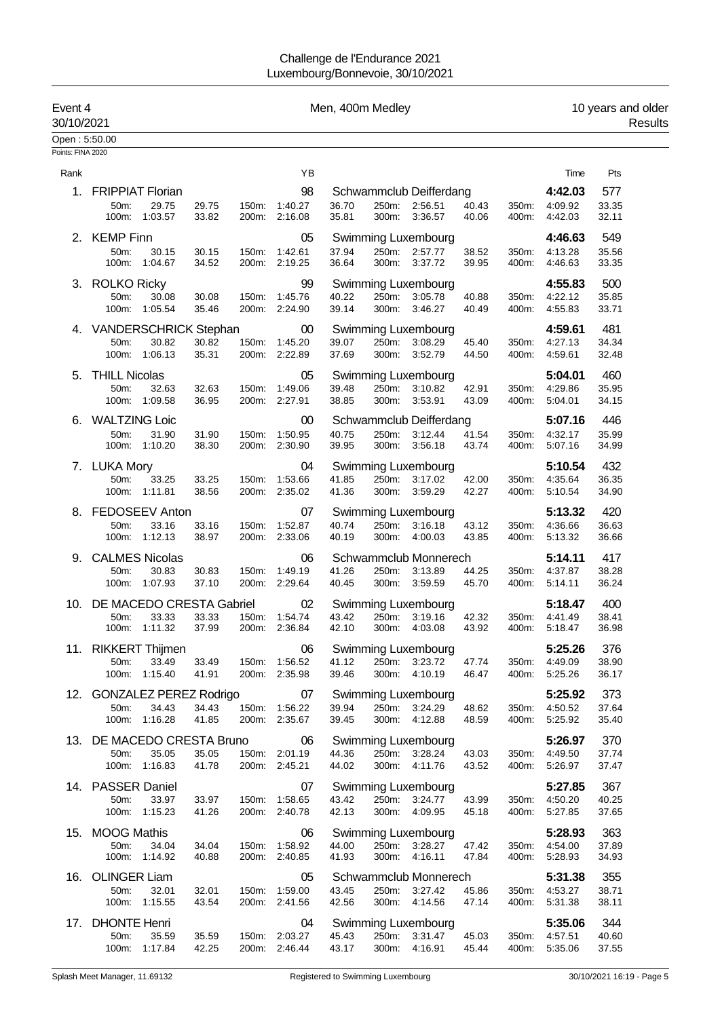| Event 4<br>30/10/2021 |                            |                          |                |       |                                | Men, 400m Medley |                |                                             |                |                |                    | 10 years and older<br>Results |
|-----------------------|----------------------------|--------------------------|----------------|-------|--------------------------------|------------------|----------------|---------------------------------------------|----------------|----------------|--------------------|-------------------------------|
| Open: 5:50.00         |                            |                          |                |       |                                |                  |                |                                             |                |                |                    |                               |
| Points: FINA 2020     |                            |                          |                |       |                                |                  |                |                                             |                |                |                    |                               |
| Rank                  |                            |                          |                |       | YB                             |                  |                |                                             |                |                | Time               | Pts                           |
| 1.                    | <b>FRIPPIAT Florian</b>    |                          |                |       | 98                             |                  |                | Schwammclub Deifferdang                     |                |                | 4:42.03            | 577                           |
|                       | 50m:                       | 29.75                    | 29.75          | 150m: | 1:40.27                        | 36.70            |                | 250m: 2:56.51                               | 40.43          | 350m:          | 4:09.92            | 33.35                         |
|                       |                            | 100m: 1:03.57            | 33.82          |       | 200m: 2:16.08                  | 35.81            |                | 300m: 3:36.57                               | 40.06          | 400m:          | 4:42.03            | 32.11                         |
|                       | 2. KEMP Finn               |                          |                |       | 05                             |                  |                | Swimming Luxembourg                         |                |                | 4:46.63            | 549                           |
|                       | 50m:                       | 30.15                    | 30.15          | 150m: | 1:42.61                        | 37.94            |                | 250m: 2:57.77                               | 38.52          | 350m:          | 4:13.28            | 35.56                         |
|                       | 100m:                      | 1:04.67                  | 34.52          |       | 200m: 2:19.25                  | 36.64            |                | 300m: 3:37.72                               | 39.95          | 400m:          | 4:46.63            | 33.35                         |
|                       | 3. ROLKO Ricky             |                          |                |       | 99                             |                  |                | Swimming Luxembourg                         |                |                | 4:55.83            | 500                           |
|                       | 50m:                       | 30.08                    | 30.08          | 150m: | 1:45.76                        | 40.22            |                | 250m: 3:05.78                               | 40.88          | 350m:          | 4:22.12            | 35.85                         |
|                       | 100m:                      | 1:05.54                  | 35.46          |       | 200m: 2:24.90                  | 39.14            |                | 300m: 3:46.27                               | 40.49          | 400m:          | 4:55.83            | 33.71                         |
|                       | 4. VANDERSCHRICK Stephan   |                          |                |       | $00\,$                         |                  |                | <b>Swimming Luxembourg</b>                  |                |                | 4:59.61            | 481                           |
|                       | 50m:                       | 30.82                    | 30.82          | 150m: | 1:45.20                        | 39.07            | 250m:          | 3:08.29                                     | 45.40          | 350m:          | 4:27.13            | 34.34                         |
|                       |                            | 100m: 1:06.13            | 35.31          |       | 200m: 2:22.89                  | 37.69            | 300m:          | 3:52.79                                     | 44.50          | 400m:          | 4:59.61            | 32.48                         |
| 5.                    | <b>THILL Nicolas</b>       |                          |                |       | 05                             |                  |                | Swimming Luxembourg                         |                |                | 5:04.01            | 460                           |
|                       | 50m:                       | 32.63<br>100m: 1:09.58   | 32.63<br>36.95 | 150m: | 1:49.06<br>200m: 2:27.91       | 39.48<br>38.85   | 300m:          | 250m: 3:10.82<br>3:53.91                    | 42.91<br>43.09 | 350m:<br>400m: | 4:29.86<br>5:04.01 | 35.95<br>34.15                |
|                       |                            |                          |                |       |                                |                  |                |                                             |                |                |                    |                               |
| 6.                    | <b>WALTZING Loic</b>       |                          |                |       | 00                             |                  |                | Schwammclub Deifferdang                     |                |                | 5:07.16            | 446                           |
|                       | 50m:                       | 31.90<br>100m: 1:10.20   | 31.90<br>38.30 | 150m: | 1:50.95<br>200m: 2:30.90       | 40.75<br>39.95   | 250m:<br>300m: | 3:12.44<br>3:56.18                          | 41.54<br>43.74 | 350m:<br>400m: | 4:32.17<br>5:07.16 | 35.99<br>34.99                |
|                       |                            |                          |                |       |                                |                  |                |                                             |                |                |                    |                               |
|                       | 7. LUKA Mory<br>50m:       | 33.25                    | 33.25          | 150m: | 04<br>1:53.66                  | 41.85            |                | <b>Swimming Luxembourg</b><br>250m: 3:17.02 | 42.00          | 350m:          | 5:10.54<br>4:35.64 | 432<br>36.35                  |
|                       |                            | 100m: 1:11.81            | 38.56          |       | 200m: 2:35.02                  | 41.36            |                | 300m: 3:59.29                               | 42.27          | 400m:          | 5:10.54            | 34.90                         |
| 8.                    |                            | FEDOSEEV Anton           |                |       | 07                             |                  |                | Swimming Luxembourg                         |                |                | 5:13.32            | 420                           |
|                       | 50m:                       | 33.16                    | 33.16          | 150m: | 1:52.87                        | 40.74            |                | 250m: 3:16.18                               | 43.12          | 350m:          | 4:36.66            | 36.63                         |
|                       |                            | 100m: 1:12.13            | 38.97          |       | 200m: 2:33.06                  | 40.19            | 300m:          | 4:00.03                                     | 43.85          | 400m:          | 5:13.32            | 36.66                         |
| 9.                    |                            | <b>CALMES Nicolas</b>    |                |       | 06                             |                  |                | Schwammclub Monnerech                       |                |                | 5:14.11            | 417                           |
|                       | 50m:                       | 30.83                    | 30.83          | 150m: | 1:49.19                        | 41.26            | 250m:          | 3:13.89                                     | 44.25          | 350m:          | 4:37.87            | 38.28                         |
|                       | 100m:                      | 1:07.93                  | 37.10          |       | 200m: 2:29.64                  | 40.45            | 300m:          | 3:59.59                                     | 45.70          | 400m:          | 5:14.11            | 36.24                         |
| 10.                   |                            | DE MACEDO CRESTA Gabriel |                |       | 02                             |                  |                | <b>Swimming Luxembourg</b>                  |                |                | 5:18.47            | 400                           |
|                       | 50m:                       | 33.33                    | 33.33          | 150m: | 1:54.74                        | 43.42            | 250m:          | 3:19.16                                     | 42.32          | 350m:          | 4:41.49            | 38.41                         |
|                       | 100m:                      | 1:11.32                  | 37.99          |       | 200m: 2:36.84                  | 42.10            | 300m:          | 4:03.08                                     | 43.92          | 400m:          | 5:18.47            | 36.98                         |
|                       | 11. RIKKERT Thijmen        |                          |                |       | 06                             |                  |                | <b>Swimming Luxembourg</b>                  |                |                | 5:25.26            | 376                           |
|                       | 50m:                       | 33.49                    | 33.49          |       | 150m: 1:56.52                  | 41.12            |                | 250m: 3:23.72                               | 47.74          | 350m:          | 4:49.09            | 38.90                         |
|                       |                            | 100m: 1:15.40            | 41.91          |       | 200m: 2:35.98                  | 39.46            | 300m:          | 4:10.19                                     | 46.47          | 400m:          | 5:25.26            | 36.17                         |
|                       | 12. GONZALEZ PEREZ Rodrigo |                          |                |       | 07                             |                  |                | Swimming Luxembourg                         |                |                | 5:25.92            | 373                           |
|                       | 50m:                       | 34.43<br>100m: 1:16.28   | 34.43<br>41.85 |       | 150m: 1:56.22<br>200m: 2:35.67 | 39.94<br>39.45   |                | 250m: 3:24.29<br>300m: 4:12.88              | 48.62<br>48.59 | 350m:<br>400m: | 4:50.52<br>5:25.92 | 37.64<br>35.40                |
|                       |                            |                          |                |       |                                |                  |                |                                             |                |                |                    |                               |
|                       | 13. DE MACEDO CRESTA Bruno | 35.05                    |                |       | 06                             | 44.36            |                | Swimming Luxembourg<br>250m: 3:28.24        |                |                | 5:26.97<br>4:49.50 | 370<br>37.74                  |
|                       | 50m:                       | 100m: 1:16.83            | 35.05<br>41.78 |       | 150m: 2:01.19<br>200m: 2:45.21 | 44.02            |                | 300m: 4:11.76                               | 43.03<br>43.52 | 350m:<br>400m: | 5:26.97            | 37.47                         |
|                       |                            |                          |                |       |                                |                  |                |                                             |                |                |                    |                               |
|                       | 14. PASSER Daniel<br>50m:  | 33.97                    | 33.97          | 150m: | 07<br>1:58.65                  | 43.42            |                | Swimming Luxembourg<br>250m: 3:24.77        | 43.99          | 350m:          | 5:27.85<br>4:50.20 | 367<br>40.25                  |
|                       |                            | 100m: 1:15.23            | 41.26          |       | 200m: 2:40.78                  | 42.13            | 300m:          | 4:09.95                                     | 45.18          | 400m:          | 5:27.85            | 37.65                         |
|                       | 15. MOOG Mathis            |                          |                |       | 06                             |                  |                | <b>Swimming Luxembourg</b>                  |                |                | 5:28.93            | 363                           |
|                       | 50m:                       | 34.04                    | 34.04          |       | 150m: 1:58.92                  | 44.00            |                | 250m: 3:28.27                               | 47.42          | 350m:          | 4:54.00            | 37.89                         |
|                       |                            | 100m: 1:14.92            | 40.88          |       | 200m: 2:40.85                  | 41.93            | 300m:          | 4:16.11                                     | 47.84          | 400m:          | 5:28.93            | 34.93                         |
|                       | 16. OLINGER Liam           |                          |                |       | 05                             |                  |                | Schwammclub Monnerech                       |                |                | 5:31.38            | 355                           |
|                       | 50m:                       | 32.01                    | 32.01          |       | 150m: 1:59.00                  | 43.45            |                | 250m: 3:27.42                               | 45.86          |                | 350m: 4:53.27      | 38.71                         |
|                       |                            | 100m: 1:15.55            | 43.54          |       | 200m: 2:41.56                  | 42.56            | 300m:          | 4:14.56                                     | 47.14          | 400m:          | 5:31.38            | 38.11                         |
|                       | 17. DHONTE Henri           |                          |                |       | 04                             |                  |                | Swimming Luxembourg                         |                |                | 5:35.06            | 344                           |
|                       | 50m:                       | 35.59                    | 35.59          | 150m: | 2:03.27                        | 45.43            |                | 250m: 3:31.47                               | 45.03          | 350m:          | 4:57.51            | 40.60                         |
|                       |                            | 100m: 1:17.84            | 42.25          |       | 200m: 2:46.44                  | 43.17            |                | 300m: 4:16.91                               | 45.44          | 400m:          | 5:35.06            | 37.55                         |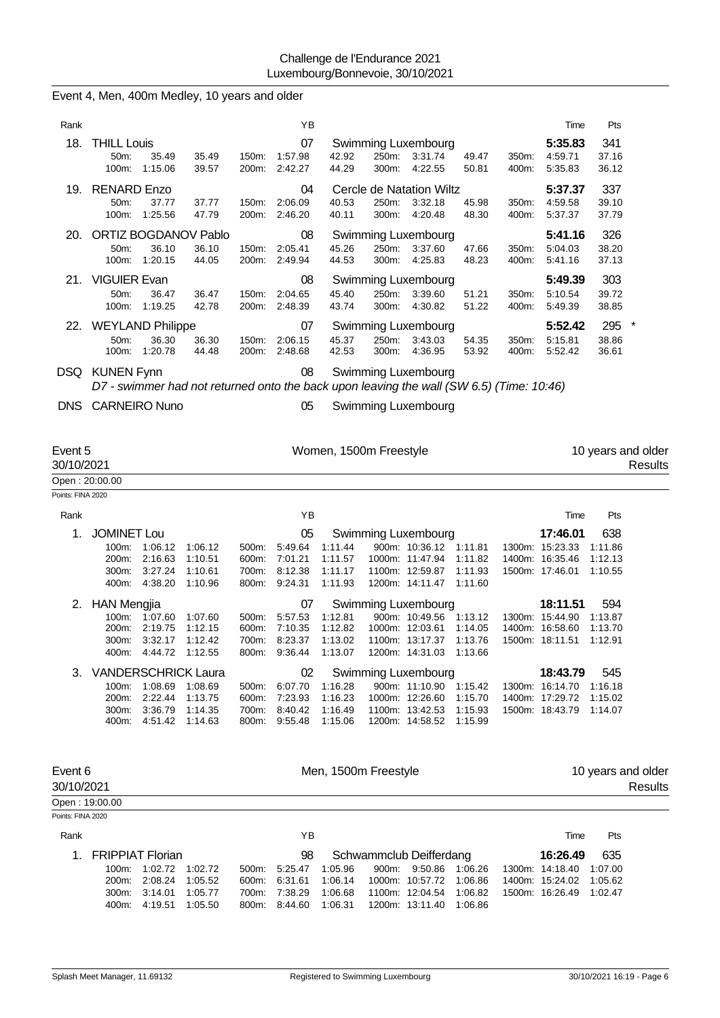| 1.                    | <b>FRIPPIAT Florian</b>                       |                                                   |                                            |                | 98                                                         |                                          |                | Schwammclub Deifferdang                                                                                                |                                          |                | 16:26.49                                                                  | 635                                  |                                      |
|-----------------------|-----------------------------------------------|---------------------------------------------------|--------------------------------------------|----------------|------------------------------------------------------------|------------------------------------------|----------------|------------------------------------------------------------------------------------------------------------------------|------------------------------------------|----------------|---------------------------------------------------------------------------|--------------------------------------|--------------------------------------|
|                       |                                               |                                                   |                                            |                |                                                            |                                          |                |                                                                                                                        |                                          |                |                                                                           |                                      |                                      |
| Rank                  |                                               |                                                   |                                            |                | YB                                                         |                                          |                |                                                                                                                        |                                          |                | Time                                                                      | Pts                                  |                                      |
| Points: FINA 2020     | Open: 19:00.00                                |                                                   |                                            |                |                                                            |                                          |                |                                                                                                                        |                                          |                |                                                                           |                                      |                                      |
| Event 6<br>30/10/2021 |                                               |                                                   |                                            |                |                                                            | Men, 1500m Freestyle                     |                |                                                                                                                        |                                          |                |                                                                           |                                      | 10 years and older<br><b>Results</b> |
|                       | 100m:<br>200m:<br>300m:<br>400m:              | 1:08.69<br>2:22.44<br>3:36.79<br>4:51.42          | 1:08.69<br>1:13.75<br>1:14.35<br>1:14.63   | 500m:<br>600m: | 6:07.70<br>7:23.93<br>700m: 8:40.42<br>800m: 9:55.48       | 1:16.28<br>1:16.23<br>1:16.49<br>1:15.06 |                | 900m: 11:10.90<br>1000m: 12:26.60<br>1100m: 13:42.53<br>1200m: 14:58.52                                                | 1:15.42<br>1:15.70<br>1:15.93<br>1:15.99 |                | 1300m: 16:14.70<br>1400m: 17:29.72<br>1500m: 18:43.79                     | 1:16.18<br>1:15.02<br>1:14.07        |                                      |
| З.                    | 400m.<br><b>VANDERSCHRICK Laura</b>           | 4:44.72                                           | 1:12.55                                    | 800m:          | 9:36.44<br>02                                              | 1:13.07                                  |                | 1200m: 14:31.03<br>Swimming Luxembourg                                                                                 | 1:13.66                                  |                | 18:43.79                                                                  | 545                                  |                                      |
|                       | 2. HAN Mengjia<br>200m:                       | 100m: 1:07.60<br>2:19.75<br>300m: 3:32.17 1:12.42 | 1:07.60<br>1:12.15                         | 500m:<br>600m: | 07<br>5:57.53<br>7:10.35<br>700m: 8:23.37                  | 1:12.81<br>1:12.82<br>1:13.02            |                | Swimming Luxembourg<br>900m: 10:49.56 1:13.12<br>1000m: 12:03.61 1:14.05<br>1100m: 13:17.37 1:13.76                    |                                          |                | 18:11.51<br>1300m: 15:44.90<br>1400m: 16:58.60<br>1500m: 18:11.51 1:12.91 | 594<br>1:13.87<br>1:13.70            |                                      |
| 1.                    | <b>JOMINET Lou</b><br>200m:<br>300m:<br>400m: | 100m: 1:06.12<br>2:16.63<br>3:27.24<br>4:38.20    | 1:06.12<br>1:10.51<br>1:10.61<br>1:10.96   | 500m:<br>700m: | 05<br>5:49.64<br>600m: 7:01.21<br>8:12.38<br>800m: 9:24.31 | 1:11.44<br>1:11.57<br>1:11.17<br>1:11.93 |                | Swimming Luxembourg<br>900m: 10:36.12 1:11.81<br>1000m: 11:47.94<br>1100m: 12:59.87<br>1200m: 14:11.47                 | 1:11.82<br>1:11.93<br>1:11.60            |                | 17:46.01<br>1300m: 15:23.33<br>1400m: 16:35.46<br>1500m: 17:46.01         | 638<br>1:11.86<br>1:12.13<br>1:10.55 |                                      |
| Rank                  |                                               |                                                   |                                            |                | YB                                                         |                                          |                |                                                                                                                        |                                          |                | Time                                                                      | Pts                                  |                                      |
| Points: FINA 2020     |                                               |                                                   |                                            |                |                                                            |                                          |                |                                                                                                                        |                                          |                |                                                                           |                                      |                                      |
| Event 5<br>30/10/2021 | Open: 20:00.00                                |                                                   |                                            |                |                                                            | Women, 1500m Freestyle                   |                |                                                                                                                        |                                          |                |                                                                           |                                      | 10 years and older<br><b>Results</b> |
|                       | DNS CARNEIRO Nuno                             |                                                   |                                            |                | 05                                                         |                                          |                | Swimming Luxembourg                                                                                                    |                                          |                |                                                                           |                                      |                                      |
|                       | DSQ KUNEN Fynn                                |                                                   |                                            |                | 08                                                         |                                          |                | <b>Swimming Luxembourg</b><br>D7 - swimmer had not returned onto the back upon leaving the wall (SW 6.5) (Time: 10:46) |                                          |                |                                                                           |                                      |                                      |
|                       | 22. WEYLAND Philippe<br>50m:<br>100m:         | 36.30<br>1:20.78                                  | 36.30<br>44.48                             | 150m:          | 07<br>2:06.15<br>200m: 2:48.68                             | 45.37<br>42.53                           | 250m:<br>300m: | Swimming Luxembourg<br>3:43.03<br>4:36.95                                                                              | 54.35<br>53.92                           | 350m:<br>400m: | 5:52.42<br>5:15.81<br>5:52.42                                             | 295<br>38.86<br>36.61                | $\ast$                               |
|                       | 21. VIGUIER Evan<br>50m:                      | 36.47<br>100m: 1:19.25                            | 36.47<br>42.78                             | 150m:          | 08<br>2:04.65<br>200m: 2:48.39                             | 45.40<br>43.74                           | 250m:          | Swimming Luxembourg<br>3:39.60<br>300m: 4:30.82                                                                        | 51.21<br>51.22                           | 350m:<br>400m: | 5:49.39<br>5:10.54<br>5:49.39                                             | 303<br>39.72<br>38.85                |                                      |
|                       | 50m:                                          | 36.10<br>100m: 1:20.15                            | 20. ORTIZ BOGDANOV Pablo<br>36.10<br>44.05 | 150m:          | 08<br>2:05.41<br>200m: 2:49.94                             | 45.26<br>44.53                           | 250m:          | Swimming Luxembourg<br>3:37.60<br>300m: 4:25.83                                                                        | 47.66<br>48.23                           | 350m:<br>400m: | 5:41.16<br>5:04.03<br>5:41.16                                             | 326<br>38.20<br>37.13                |                                      |
|                       | 19. RENARD Enzo<br>50m:<br>100m:              | 37.77<br>1:25.56                                  | 37.77<br>47.79                             | 150m:<br>200m: | 04<br>2:06.09<br>2:46.20                                   | 40.53<br>40.11                           | 250m:<br>300m: | Cercle de Natation Wiltz<br>3:32.18<br>4:20.48                                                                         | 45.98<br>48.30                           | 350m:<br>400m: | 5:37.37<br>4:59.58<br>5:37.37                                             | 337<br>39.10<br>37.79                |                                      |
| 18.                   | <b>THILL Louis</b><br>50m:<br>100m:           | 35.49<br>1:15.06                                  | 35.49<br>39.57                             | 150m:<br>200m: | 07<br>1.57.98<br>2:42.27                                   | 42.92<br>44.29                           | 250m:<br>300m: | Swimming Luxembourg<br>3:31.74<br>4:22.55                                                                              | 49.47<br>50.81                           | 350m:<br>400m: | 5:35.83<br>4:59.71<br>5:35.83                                             | 341<br>37.16<br>36.12                |                                      |
| Rank                  |                                               |                                                   |                                            |                | YB                                                         |                                          |                |                                                                                                                        |                                          |                | Time                                                                      | Pts                                  |                                      |
|                       |                                               |                                                   |                                            |                |                                                            |                                          |                |                                                                                                                        |                                          |                |                                                                           |                                      |                                      |

300m: 3:14.01 1:05.77 700m: 7:38.29 1:06.68 1100m: 12:04.54 1:06.82 1500m: 16:26.49 1:02.47

400m: 4:19.51 1:05.50 800m: 8:44.60 1:06.31 1200m: 13:11.40 1:06.86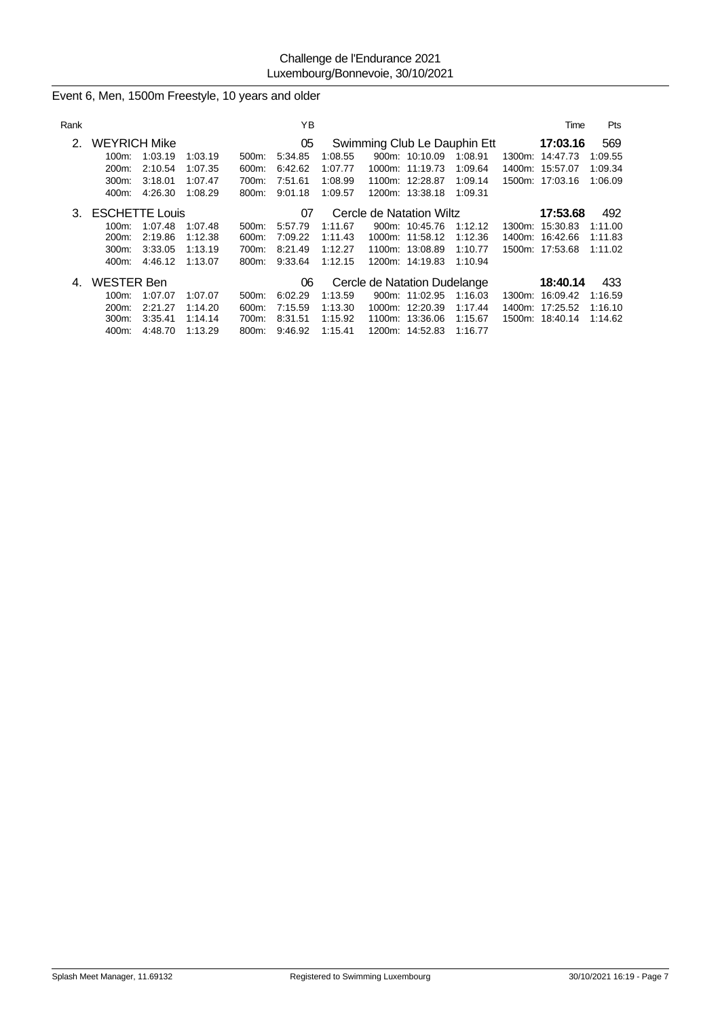| Rank |                       |         |         |          | ΥB      |         |                              |                 |                              |           | Time            | Pts     |
|------|-----------------------|---------|---------|----------|---------|---------|------------------------------|-----------------|------------------------------|-----------|-----------------|---------|
| 2.   | <b>WEYRICH Mike</b>   |         |         |          | 05      |         |                              |                 | Swimming Club Le Dauphin Ett |           | 17:03.16        | 569     |
|      | 100m:                 | 1:03.19 | 1:03.19 | 500m:    | 5.34.85 | 1:08.55 |                              | 900m: 10:10.09  | 1:08.91                      | 1300m:    | 14:47.73        | 1:09.55 |
|      | 200m:                 | 2:10.54 | 1:07.35 | 600m:    | 6:42.62 | 1:07.77 |                              | 1000m: 11:19.73 | 1:09.64                      | 1400m:    | 15:57.07        | 1:09.34 |
|      | 300m.                 | 3:18.01 | 1:07.47 | 700m:    | 7:51.61 | 1:08.99 |                              | 1100m: 12:28.87 | 1:09.14                      |           | 1500m: 17:03.16 | 1:06.09 |
|      | 400m:                 | 4:26.30 | 1:08.29 | 800m:    | 9:01.18 | 1:09.57 |                              | 1200m: 13:38.18 | 1:09.31                      |           |                 |         |
| 3.   | <b>ESCHETTE Louis</b> |         |         |          | 07      |         | Cercle de Natation Wiltz     |                 |                              |           | 17:53.68        | 492     |
|      | 100m:                 | 1:07.48 | 1:07.48 | $500m$ : | 5:57.79 | 1:11.67 |                              | 900m: 10:45.76  | 1:12.12                      | $1300m$ : | 15:30.83        | 1:11.00 |
|      | $200m$ :              | 2:19.86 | 1:12.38 | 600m:    | 7:09.22 | 1:11.43 |                              | 1000m: 11:58.12 | 1:12.36                      | 1400m:    | 16:42.66        | 1:11.83 |
|      | $300m$ :              | 3:33.05 | 1:13.19 | 700m:    | 8.21.49 | 1:12.27 |                              | 1100m: 13:08.89 | 1:10.77                      |           | 1500m: 17:53.68 | 1:11.02 |
|      | 400m:                 | 4:46.12 | 1:13.07 | 800m:    | 9:33.64 | 1:12.15 |                              | 1200m: 14:19.83 | 1:10.94                      |           |                 |         |
| 4.   | <b>WESTER Ben</b>     |         |         |          | 06      |         | Cercle de Natation Dudelange |                 |                              |           | 18:40.14        | 433     |
|      | 100m:                 | 1:07.07 | 1:07.07 | $500m$ : | 6:02.29 | 1:13.59 |                              | 900m: 11:02.95  | 1:16.03                      | 1300m:    | 16:09.42        | 1:16.59 |
|      | 200m:                 | 2:21.27 | 1:14.20 | 600m:    | 7:15.59 | 1:13.30 |                              | 1000m: 12:20.39 | 1:17.44                      | 1400m:    | 17:25.52        | 1:16.10 |
|      | 300m:                 | 3:35.41 | 1:14.14 | 700m:    | 8:31.51 | 1:15.92 |                              | 1100m: 13:36.06 | 1:15.67                      |           | 1500m: 18:40.14 | 1:14.62 |
|      | 400m:                 | 4:48.70 | 1:13.29 | 800m:    | 9:46.92 | 1:15.41 |                              | 1200m: 14:52.83 | 1:16.77                      |           |                 |         |

Event 6, Men, 1500m Freestyle, 10 years and older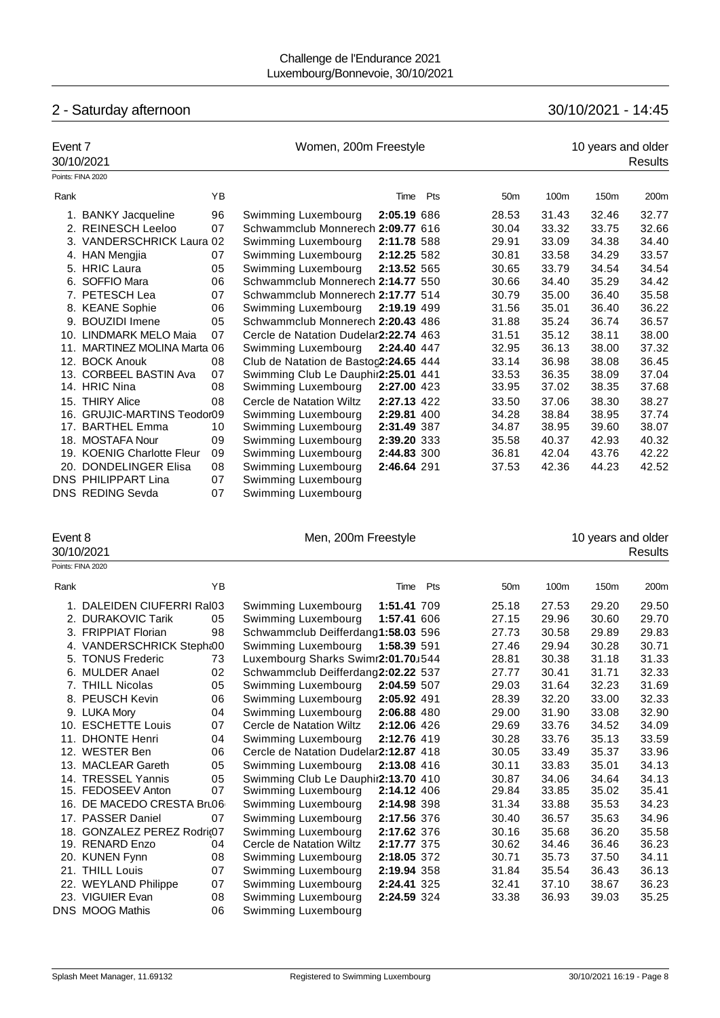# 2 - Saturday afternoon 30/10/2021 - 14:45

| Event 7 | 30/10/2021                  |    | Women, 200m Freestyle                 | 10 years and older<br>Results |     |                 |       |       |       |
|---------|-----------------------------|----|---------------------------------------|-------------------------------|-----|-----------------|-------|-------|-------|
|         | Points: FINA 2020           |    |                                       |                               |     |                 |       |       |       |
| Rank    |                             | YB |                                       | Time                          | Pts | 50 <sub>m</sub> | 100m  | 150m  | 200m  |
|         | 1. BANKY Jacqueline         | 96 | Swimming Luxembourg                   | 2:05.19 686                   |     | 28.53           | 31.43 | 32.46 | 32.77 |
|         | 2. REINESCH Leeloo          | 07 | Schwammclub Monnerech 2:09.77 616     |                               |     | 30.04           | 33.32 | 33.75 | 32.66 |
|         | 3. VANDERSCHRICK Laura 02   |    | Swimming Luxembourg                   | 2:11.78 588                   |     | 29.91           | 33.09 | 34.38 | 34.40 |
|         | 4. HAN Mengjia              | 07 | Swimming Luxembourg                   | 2:12.25 582                   |     | 30.81           | 33.58 | 34.29 | 33.57 |
|         | 5. HRIC Laura               | 05 | Swimming Luxembourg                   | 2:13.52 565                   |     | 30.65           | 33.79 | 34.54 | 34.54 |
|         | 6. SOFFIO Mara              | 06 | Schwammclub Monnerech 2:14.77 550     |                               |     | 30.66           | 34.40 | 35.29 | 34.42 |
|         | 7. PETESCH Lea              | 07 | Schwammclub Monnerech 2:17.77 514     |                               |     | 30.79           | 35.00 | 36.40 | 35.58 |
|         | 8. KEANE Sophie             | 06 | Swimming Luxembourg                   | 2:19.19 499                   |     | 31.56           | 35.01 | 36.40 | 36.22 |
|         | 9. BOUZIDI Imene            | 05 | Schwammclub Monnerech 2:20.43 486     |                               |     | 31.88           | 35.24 | 36.74 | 36.57 |
|         | 10. LINDMARK MELO Maia      | 07 | Cercle de Natation Dudelar2:22.74 463 |                               |     | 31.51           | 35.12 | 38.11 | 38.00 |
| 11.     | MARTINEZ MOLINA Marta 06    |    | Swimming Luxembourg                   | 2:24.40 447                   |     | 32.95           | 36.13 | 38.00 | 37.32 |
|         | 12. BOCK Anouk              | 08 | Club de Natation de Bastoc2:24.65 444 |                               |     | 33.14           | 36.98 | 38.08 | 36.45 |
|         | 13. CORBEEL BASTIN Ava      | 07 | Swimming Club Le Dauphir2:25.01 441   |                               |     | 33.53           | 36.35 | 38.09 | 37.04 |
|         | 14. HRIC Nina               | 08 | Swimming Luxembourg                   | 2:27.00 423                   |     | 33.95           | 37.02 | 38.35 | 37.68 |
|         | 15. THIRY Alice             | 08 | Cercle de Natation Wiltz              | 2:27.13 422                   |     | 33.50           | 37.06 | 38.30 | 38.27 |
|         | 16. GRUJIC-MARTINS Teodor09 |    | Swimming Luxembourg                   | 2:29.81 400                   |     | 34.28           | 38.84 | 38.95 | 37.74 |
|         | 17. BARTHEL Emma            | 10 | Swimming Luxembourg                   | 2:31.49 387                   |     | 34.87           | 38.95 | 39.60 | 38.07 |
|         | 18. MOSTAFA Nour            | 09 | Swimming Luxembourg                   | 2:39.20 333                   |     | 35.58           | 40.37 | 42.93 | 40.32 |
|         | 19. KOENIG Charlotte Fleur  | 09 | Swimming Luxembourg                   | 2:44.83 300                   |     | 36.81           | 42.04 | 43.76 | 42.22 |
|         | 20. DONDELINGER Elisa       | 08 | Swimming Luxembourg                   | 2:46.64 291                   |     | 37.53           | 42.36 | 44.23 | 42.52 |
|         | <b>DNS PHILIPPART Lina</b>  | 07 | Swimming Luxembourg                   |                               |     |                 |       |       |       |
|         | <b>DNS REDING Sevda</b>     | 07 | Swimming Luxembourg                   |                               |     |                 |       |       |       |

| Event 8 | 30/10/2021                 |    | Men, 200m Freestyle                   |             |     |                 |       | 10 years and older | Results |
|---------|----------------------------|----|---------------------------------------|-------------|-----|-----------------|-------|--------------------|---------|
|         | Points: FINA 2020          |    |                                       |             |     |                 |       |                    |         |
| Rank    |                            | YB |                                       | Time        | Pts | 50 <sub>m</sub> | 100m  | 150m               | 200m    |
|         | 1. DALEIDEN CIUFERRI Ral03 |    | Swimming Luxembourg                   | 1:51.41 709 |     | 25.18           | 27.53 | 29.20              | 29.50   |
| 2.      | <b>DURAKOVIC Tarik</b>     | 05 | Swimming Luxembourg                   | 1:57.41 606 |     | 27.15           | 29.96 | 30.60              | 29.70   |
|         | 3. FRIPPIAT Florian        | 98 | Schwammclub Deifferdang1:58.03 596    |             |     | 27.73           | 30.58 | 29.89              | 29.83   |
|         | 4. VANDERSCHRICK Stepht00  |    | Swimming Luxembourg                   | 1:58.39 591 |     | 27.46           | 29.94 | 30.28              | 30.71   |
|         | 5. TONUS Frederic          | 73 | Luxembourg Sharks Swimr2:01.70J544    |             |     | 28.81           | 30.38 | 31.18              | 31.33   |
|         | 6. MULDER Anael            | 02 | Schwammclub Deifferdang2:02.22 537    |             |     | 27.77           | 30.41 | 31.71              | 32.33   |
|         | 7. THILL Nicolas           | 05 | Swimming Luxembourg                   | 2:04.59 507 |     | 29.03           | 31.64 | 32.23              | 31.69   |
|         | 8. PEUSCH Kevin            | 06 | Swimming Luxembourg                   | 2:05.92 491 |     | 28.39           | 32.20 | 33.00              | 32.33   |
|         | 9. LUKA Morv               | 04 | Swimming Luxembourg                   | 2:06.88 480 |     | 29.00           | 31.90 | 33.08              | 32.90   |
|         | 10. ESCHETTE Louis         | 07 | Cercle de Natation Wiltz              | 2:12.06 426 |     | 29.69           | 33.76 | 34.52              | 34.09   |
| 11.     | <b>DHONTE Henri</b>        | 04 | Swimming Luxembourg                   | 2:12.76 419 |     | 30.28           | 33.76 | 35.13              | 33.59   |
|         | 12. WESTER Ben             | 06 | Cercle de Natation Dudelar2:12.87 418 |             |     | 30.05           | 33.49 | 35.37              | 33.96   |
|         | 13. MACLEAR Gareth         | 05 | Swimming Luxembourg                   | 2:13.08 416 |     | 30.11           | 33.83 | 35.01              | 34.13   |
|         | 14. TRESSEL Yannis         | 05 | Swimming Club Le Dauphir2:13.70 410   |             |     | 30.87           | 34.06 | 34.64              | 34.13   |
|         | 15. FEDOSEEV Anton         | 07 | Swimming Luxembourg                   | 2:14.12 406 |     | 29.84           | 33.85 | 35.02              | 35.41   |
|         | 16. DE MACEDO CRESTA Bru06 |    | Swimming Luxembourg                   | 2:14.98 398 |     | 31.34           | 33.88 | 35.53              | 34.23   |
|         | 17. PASSER Daniel          | 07 | Swimming Luxembourg                   | 2:17.56 376 |     | 30.40           | 36.57 | 35.63              | 34.96   |
| 18.     | GONZALEZ PEREZ Rodri@7     |    | Swimming Luxembourg                   | 2:17.62 376 |     | 30.16           | 35.68 | 36.20              | 35.58   |
|         | 19. RENARD Enzo            | 04 | Cercle de Natation Wiltz              | 2:17.77 375 |     | 30.62           | 34.46 | 36.46              | 36.23   |
|         | 20. KUNEN Fynn             | 08 | Swimming Luxembourg                   | 2:18.05 372 |     | 30.71           | 35.73 | 37.50              | 34.11   |
|         | 21. THILL Louis            | 07 | Swimming Luxembourg                   | 2:19.94 358 |     | 31.84           | 35.54 | 36.43              | 36.13   |
|         | 22. WEYLAND Philippe       | 07 | Swimming Luxembourg                   | 2:24.41 325 |     | 32.41           | 37.10 | 38.67              | 36.23   |
|         | 23. VIGUIER Evan           | 08 | Swimming Luxembourg                   | 2:24.59 324 |     | 33.38           | 36.93 | 39.03              | 35.25   |
|         | DNS MOOG Mathis            | 06 | Swimming Luxembourg                   |             |     |                 |       |                    |         |
|         |                            |    |                                       |             |     |                 |       |                    |         |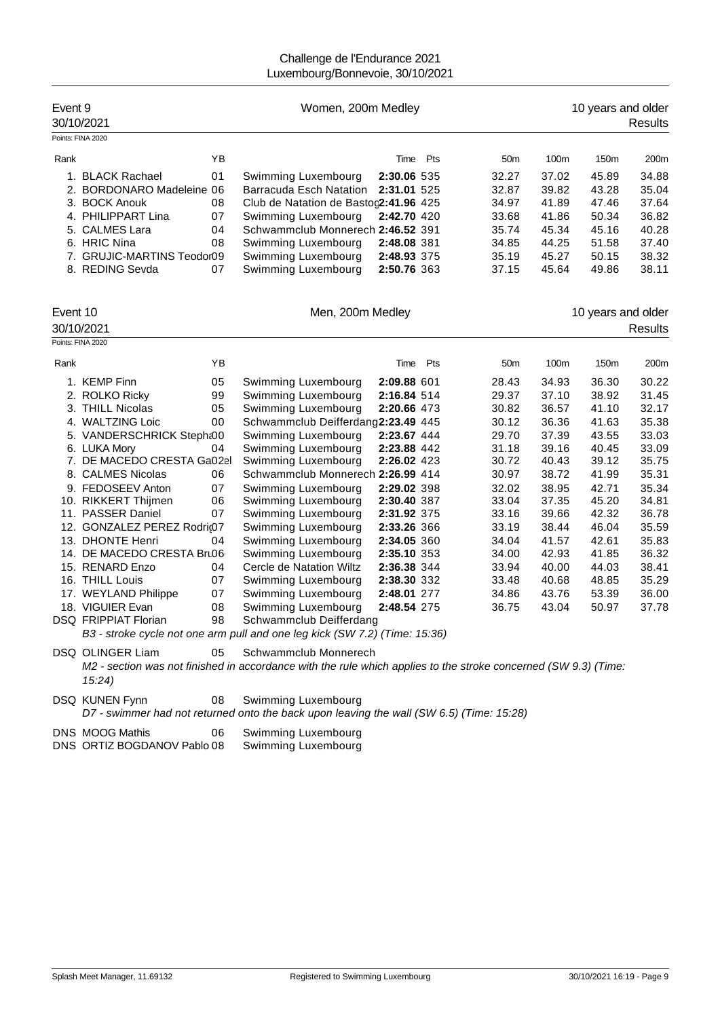| Event 9  | 30/10/2021                  |    | Women, 200m Medley                                                         |             | 10 years and older<br>Results |                 |       |                    |                |
|----------|-----------------------------|----|----------------------------------------------------------------------------|-------------|-------------------------------|-----------------|-------|--------------------|----------------|
|          | Points: FINA 2020           |    |                                                                            |             |                               |                 |       |                    |                |
| Rank     |                             | YB |                                                                            |             | Time Pts                      | 50 <sub>m</sub> | 100m  | 150m               | 200m           |
|          | 1. BLACK Rachael            | 01 | Swimming Luxembourg                                                        | 2:30.06 535 |                               | 32.27           | 37.02 | 45.89              | 34.88          |
|          | 2. BORDONARO Madeleine 06   |    | Barracuda Esch Natation                                                    | 2:31.01 525 |                               | 32.87           | 39.82 | 43.28              | 35.04          |
|          | 3. BOCK Anouk               | 08 | Club de Natation de Bastoc2:41.96 425                                      |             |                               | 34.97           | 41.89 | 47.46              | 37.64          |
|          | 4. PHILIPPART Lina          | 07 | Swimming Luxembourg                                                        | 2:42.70 420 |                               | 33.68           | 41.86 | 50.34              | 36.82          |
|          | 5. CALMES Lara              | 04 | Schwammclub Monnerech 2:46.52 391                                          |             |                               | 35.74           | 45.34 | 45.16              | 40.28          |
|          | 6. HRIC Nina                | 08 | Swimming Luxembourg                                                        | 2:48.08 381 |                               | 34.85           | 44.25 | 51.58              | 37.40          |
|          | 7. GRUJIC-MARTINS Teodor09  |    | Swimming Luxembourg                                                        | 2:48.93 375 |                               | 35.19           | 45.27 | 50.15              | 38.32          |
|          | 8. REDING Sevda             | 07 | Swimming Luxembourg                                                        | 2:50.76 363 |                               | 37.15           | 45.64 | 49.86              | 38.11          |
|          |                             |    |                                                                            |             |                               |                 |       |                    |                |
| Event 10 |                             |    | Men, 200m Medley                                                           |             |                               |                 |       | 10 years and older |                |
|          | 30/10/2021                  |    |                                                                            |             |                               |                 |       |                    | <b>Results</b> |
|          | Points: FINA 2020           |    |                                                                            |             |                               |                 |       |                    |                |
|          |                             |    |                                                                            |             |                               |                 |       |                    |                |
| Rank     |                             | YB |                                                                            | Time        | Pts                           | 50 <sub>m</sub> | 100m  | 150m               | 200m           |
|          | 1. KEMP Finn                | 05 | Swimming Luxembourg                                                        | 2:09.88 601 |                               | 28.43           | 34.93 | 36.30              | 30.22          |
|          | 2. ROLKO Ricky              | 99 | Swimming Luxembourg                                                        | 2:16.84 514 |                               | 29.37           | 37.10 | 38.92              | 31.45          |
|          | 3. THILL Nicolas            | 05 | Swimming Luxembourg                                                        | 2:20.66 473 |                               | 30.82           | 36.57 | 41.10              | 32.17          |
|          | 4. WALTZING Loic            | 00 | Schwammclub Deifferdang2:23.49 445                                         |             |                               | 30.12           | 36.36 | 41.63              | 35.38          |
|          | 5. VANDERSCHRICK Stepht00   |    | Swimming Luxembourg                                                        | 2:23.67 444 |                               | 29.70           | 37.39 | 43.55              | 33.03          |
|          | 6. LUKA Mory                | 04 | Swimming Luxembourg                                                        | 2:23.88 442 |                               | 31.18           | 39.16 | 40.45              | 33.09          |
|          | 7. DE MACEDO CRESTA Ga02el  |    | Swimming Luxembourg                                                        | 2:26.02 423 |                               | 30.72           | 40.43 | 39.12              | 35.75          |
|          | 8. CALMES Nicolas           | 06 | Schwammclub Monnerech 2:26.99 414                                          |             |                               | 30.97           | 38.72 | 41.99              | 35.31          |
|          | 9. FEDOSEEV Anton           | 07 | Swimming Luxembourg                                                        | 2:29.02 398 |                               | 32.02           | 38.95 | 42.71              | 35.34          |
|          | 10. RIKKERT Thijmen         | 06 | Swimming Luxembourg                                                        | 2:30.40 387 |                               | 33.04           | 37.35 | 45.20              | 34.81          |
|          | 11. PASSER Daniel           | 07 | Swimming Luxembourg                                                        | 2:31.92 375 |                               | 33.16           | 39.66 | 42.32              | 36.78          |
|          | 12. GONZALEZ PEREZ Rodri@7  |    | Swimming Luxembourg                                                        | 2:33.26 366 |                               | 33.19           | 38.44 | 46.04              | 35.59          |
|          | 13. DHONTE Henri            | 04 | Swimming Luxembourg                                                        | 2:34.05 360 |                               | 34.04           | 41.57 | 42.61              | 35.83          |
|          | 14. DE MACEDO CRESTA Bru06  |    | Swimming Luxembourg                                                        | 2:35.10 353 |                               | 34.00           | 42.93 | 41.85              | 36.32          |
|          | 15. RENARD Enzo             | 04 | Cercle de Natation Wiltz                                                   | 2:36.38 344 |                               | 33.94           | 40.00 | 44.03              | 38.41          |
|          | 16. THILL Louis             | 07 | Swimming Luxembourg                                                        | 2:38.30 332 |                               | 33.48           | 40.68 | 48.85              | 35.29          |
|          | 17. WEYLAND Philippe        | 07 | Swimming Luxembourg                                                        | 2:48.01 277 |                               | 34.86           | 43.76 | 53.39              | 36.00          |
|          | 18. VIGUIER Evan            | 08 | Swimming Luxembourg                                                        | 2:48.54 275 |                               | 36.75           | 43.04 | 50.97              | 37.78          |
|          | <b>DSQ FRIPPIAT Florian</b> | 98 | Schwammclub Deifferdang                                                    |             |                               |                 |       |                    |                |
|          |                             |    | B3 - stroke cycle not one arm pull and one leg kick (SW 7.2) (Time: 15:36) |             |                               |                 |       |                    |                |

DSQ OLINGER Liam 05 Schwammclub Monnerech *M2 - section was not finished in accordance with the rule which applies to the stroke concerned (SW 9.3) (Time: 15:24)*

DSQ KUNEN Fynn 08 Swimming Luxembourg *D7 - swimmer had not returned onto the back upon leaving the wall (SW 6.5) (Time: 15:28)* DNS MOOG Mathis 06 Swimming Luxembourg

| DNS MOOG Mathis             | Swimming Luxembourg |
|-----------------------------|---------------------|
| DNS ORTIZ BOGDANOV Pablo 08 | Swimming Luxembourg |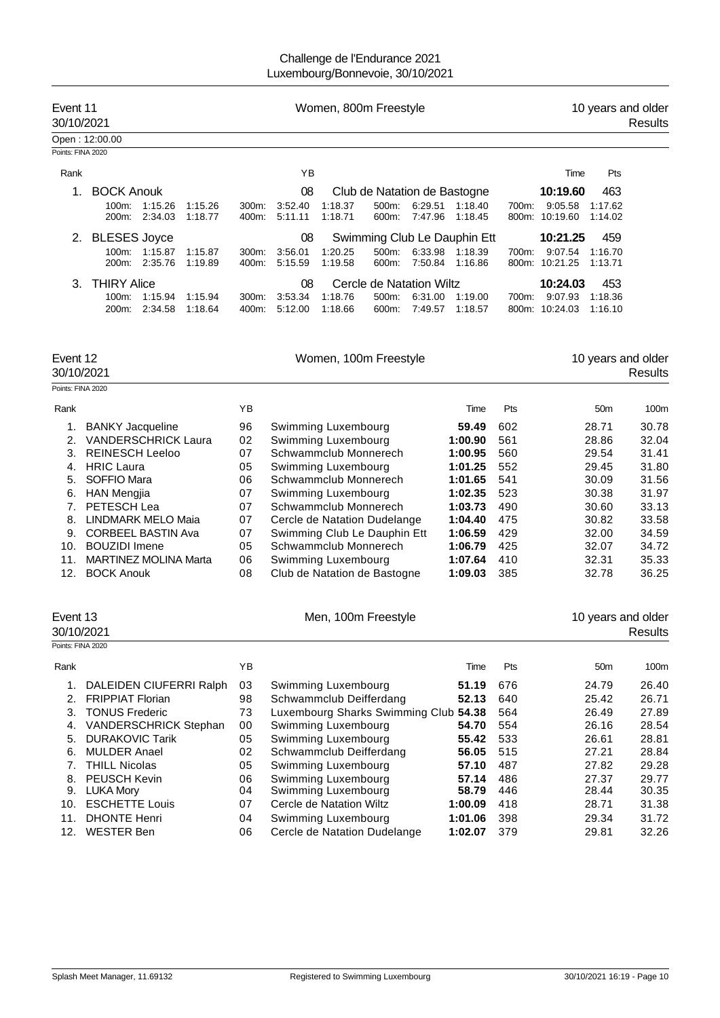| Event 11<br>30/10/2021 |                                                      |                    | Women, 800m Freestyle |                   |                    |                    |                              | 10 years and older<br>Results |                              |                |                     |                    |  |
|------------------------|------------------------------------------------------|--------------------|-----------------------|-------------------|--------------------|--------------------|------------------------------|-------------------------------|------------------------------|----------------|---------------------|--------------------|--|
|                        | Open: 12:00.00                                       |                    |                       |                   |                    |                    |                              |                               |                              |                |                     |                    |  |
| Points: FINA 2020      |                                                      |                    |                       |                   |                    |                    |                              |                               |                              |                |                     |                    |  |
| Rank                   |                                                      |                    |                       |                   | ΥB                 |                    |                              |                               |                              |                | Time                | Pts                |  |
|                        | <b>BOCK Anouk</b>                                    |                    |                       |                   | 08                 |                    | Club de Natation de Bastogne |                               |                              |                | 10:19.60            | 463                |  |
|                        | $100m$ :<br>200 <sub>m</sub> :                       | 1:15.26<br>2:34.03 | 1:15.26<br>1:18.77    | $300m$ :<br>400m: | 3:52.40<br>5:11.11 | 1:18.37<br>1:18.71 | 500m:<br>600m:               | 6:29.51<br>7:47.96            | 1:18.40<br>1:18.45           | 700m:<br>800m: | 9:05.58<br>10:19.60 | 1:17.62<br>1:14.02 |  |
| 2.                     | <b>BLESES Joyce</b>                                  |                    |                       |                   | 08                 |                    |                              |                               | Swimming Club Le Dauphin Ett |                | 10:21.25            | 459                |  |
|                        | $100m$ :<br>200 <sub>m</sub> :                       | 1:15.87<br>2:35.76 | 1:15.87<br>1:19.89    | $300m$ :<br>400m: | 3:56.01<br>5.15.59 | 1:20.25<br>1:19.58 | 500m:<br>600m:               | 6:33.98<br>7:50.84            | 1:18.39<br>1:16.86           | 700m:<br>800m: | 9:07.54<br>10:21.25 | 1:16.70<br>1:13.71 |  |
| 3                      | <b>THIRY Alice</b><br>08<br>Cercle de Natation Wiltz |                    |                       | 10:24.03          | 453                |                    |                              |                               |                              |                |                     |                    |  |
|                        | $100m$ :                                             | 1:15.94            | 1:15.94               | 300m:             | 3:53.34            | 1:18.76            | 500m:                        | 6:31.00                       | 1.19.00                      | 700m:          | 9:07.93             | 1.18.36            |  |
|                        | 200 <sub>m</sub> :                                   | 2:34.58            | 1.18.64               | 400m:             | 5:12.00            | 1:18.66            | 600m:                        | 7:49.57                       | 1:18.57                      | 800m:          | 10:24.03            | 1:16.10            |  |

| Event 12 |                              |    | Women, 100m Freestyle        | 10 years and older |            |                 |         |
|----------|------------------------------|----|------------------------------|--------------------|------------|-----------------|---------|
|          | 30/10/2021                   |    |                              |                    |            |                 | Results |
|          | Points: FINA 2020            |    |                              |                    |            |                 |         |
| Rank     |                              | YB |                              | Time               | <b>Pts</b> | 50 <sub>m</sub> | 100m    |
|          | <b>BANKY Jacqueline</b>      | 96 | Swimming Luxembourg          | 59.49              | 602        | 28.71           | 30.78   |
| 2.       | <b>VANDERSCHRICK Laura</b>   | 02 | Swimming Luxembourg          | 1:00.90            | 561        | 28.86           | 32.04   |
| 3.       | <b>REINESCH Leeloo</b>       | 07 | Schwammclub Monnerech        | 1:00.95            | 560        | 29.54           | 31.41   |
| 4.       | <b>HRIC Laura</b>            | 05 | Swimming Luxembourg          | 1:01.25            | 552        | 29.45           | 31.80   |
| 5.       | SOFFIO Mara                  | 06 | Schwammclub Monnerech        | 1:01.65            | 541        | 30.09           | 31.56   |
| 6.       | <b>HAN Mengjia</b>           | 07 | Swimming Luxembourg          | 1:02.35            | 523        | 30.38           | 31.97   |
| 7.       | PETESCH Lea                  | 07 | Schwammclub Monnerech        | 1:03.73            | 490        | 30.60           | 33.13   |
| 8.       | <b>LINDMARK MELO Maia</b>    | 07 | Cercle de Natation Dudelange | 1:04.40            | 475        | 30.82           | 33.58   |
| 9.       | <b>CORBEEL BASTIN Ava</b>    | 07 | Swimming Club Le Dauphin Ett | 1:06.59            | 429        | 32.00           | 34.59   |
| 10.      | <b>BOUZIDI</b> Imene         | 05 | Schwammclub Monnerech        | 1:06.79            | 425        | 32.07           | 34.72   |
| 11.      | <b>MARTINEZ MOLINA Marta</b> | 06 | Swimming Luxembourg          | 1:07.64            | 410        | 32.31           | 35.33   |
| 12.      | <b>BOCK Anouk</b>            | 08 | Club de Natation de Bastogne | 1:09.03            | 385        | 32.78           | 36.25   |

| Event 13<br>30/10/2021 |                              |     | Men, 100m Freestyle                   |         | 10 years and older<br>Results |                 |       |
|------------------------|------------------------------|-----|---------------------------------------|---------|-------------------------------|-----------------|-------|
| Points: FINA 2020      |                              |     |                                       |         |                               |                 |       |
| Rank                   |                              | YB. |                                       | Time    | Pts                           | 50 <sub>m</sub> | 100m  |
|                        | DALEIDEN CIUFERRI Ralph      | 03  | Swimming Luxembourg                   | 51.19   | 676                           | 24.79           | 26.40 |
| 2.                     | <b>FRIPPIAT Florian</b>      | 98  | Schwammclub Deifferdang               | 52.13   | 640                           | 25.42           | 26.71 |
| 3.                     | <b>TONUS Frederic</b>        | 73  | Luxembourg Sharks Swimming Club 54.38 |         | 564                           | 26.49           | 27.89 |
| 4.                     | <b>VANDERSCHRICK Stephan</b> | 00  | Swimming Luxembourg                   | 54.70   | 554                           | 26.16           | 28.54 |
| 5.                     | <b>DURAKOVIC Tarik</b>       | 05  | Swimming Luxembourg                   | 55.42   | 533                           | 26.61           | 28.81 |
| 6.                     | <b>MULDER Anael</b>          | 02  | Schwammclub Deifferdang               | 56.05   | 515                           | 27.21           | 28.84 |
| 7.                     | <b>THILL Nicolas</b>         | 05  | Swimming Luxembourg                   | 57.10   | 487                           | 27.82           | 29.28 |
| 8.                     | <b>PEUSCH Kevin</b>          | 06  | Swimming Luxembourg                   | 57.14   | 486                           | 27.37           | 29.77 |
| 9.                     | LUKA Mory                    | 04  | Swimming Luxembourg                   | 58.79   | 446                           | 28.44           | 30.35 |
| 10.                    | <b>ESCHETTE Louis</b>        | 07  | Cercle de Natation Wiltz              | 1:00.09 | 418                           | 28.71           | 31.38 |
| 11.                    | <b>DHONTE Henri</b>          | 04  | Swimming Luxembourg                   | 1:01.06 | 398                           | 29.34           | 31.72 |
| 12.                    | <b>WESTER Ben</b>            | 06  | Cercle de Natation Dudelange          | 1:02.07 | 379                           | 29.81           | 32.26 |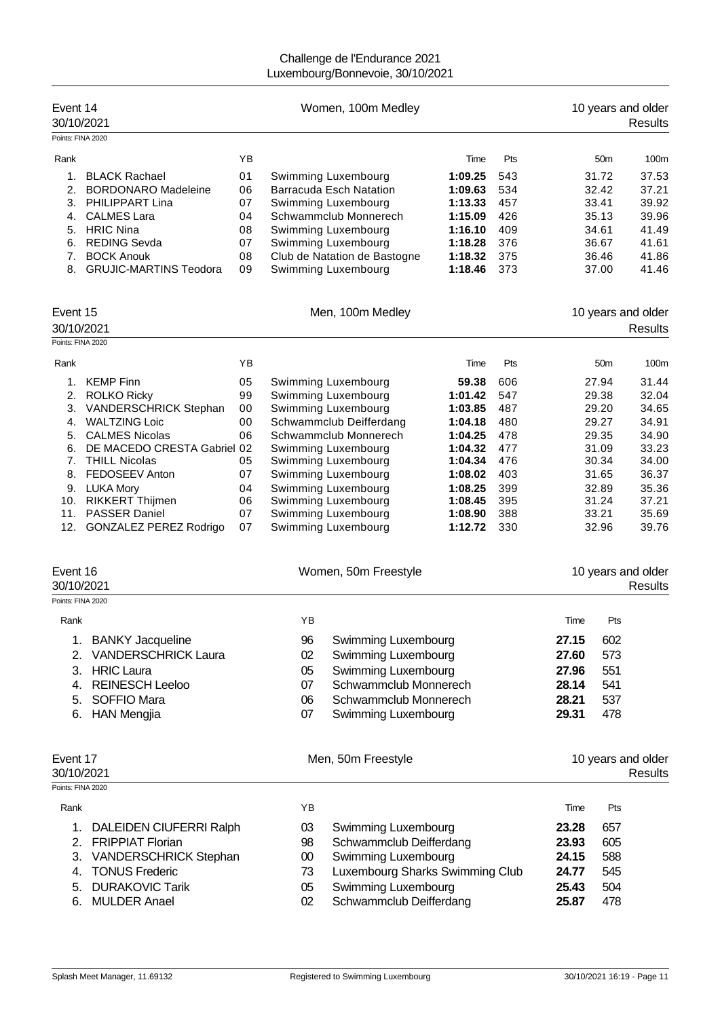| Event 14<br>30/10/2021       |                                                                                                                                         |                            |                                                                                                                                                                                                           | Women, 100m Medley                                                                                                         |                                                     |                                       |                |                                                    | 10 years and older<br><b>Results</b>               |
|------------------------------|-----------------------------------------------------------------------------------------------------------------------------------------|----------------------------|-----------------------------------------------------------------------------------------------------------------------------------------------------------------------------------------------------------|----------------------------------------------------------------------------------------------------------------------------|-----------------------------------------------------|---------------------------------------|----------------|----------------------------------------------------|----------------------------------------------------|
| Points: FINA 2020            |                                                                                                                                         |                            |                                                                                                                                                                                                           |                                                                                                                            |                                                     |                                       |                |                                                    |                                                    |
| Rank<br>1.<br>2.<br>3.       | <b>BLACK Rachael</b><br><b>BORDONARO Madeleine</b><br>PHILIPPART Lina                                                                   | YB<br>01<br>06<br>07       |                                                                                                                                                                                                           | Swimming Luxembourg<br><b>Barracuda Esch Natation</b><br>Swimming Luxembourg                                               | Time<br>1:09.25<br>1:09.63<br>1:13.33               | Pts<br>543<br>534<br>457              |                | 50 <sub>m</sub><br>31.72<br>32.42<br>33.41         | 100m<br>37.53<br>37.21<br>39.92                    |
| 4.<br>6.<br>7.<br>8.         | <b>CALMES Lara</b><br>5. HRIC Nina<br><b>REDING Sevda</b><br><b>BOCK Anouk</b><br><b>GRUJIC-MARTINS Teodora</b>                         | 04<br>08<br>07<br>08<br>09 |                                                                                                                                                                                                           | Schwammclub Monnerech<br>Swimming Luxembourg<br>Swimming Luxembourg<br>Club de Natation de Bastogne<br>Swimming Luxembourg | 1:15.09<br>1:16.10<br>1:18.28<br>1:18.32<br>1:18.46 | 426<br>409<br>376<br>375<br>373       |                | 35.13<br>34.61<br>36.67<br>36.46<br>37.00          | 39.96<br>41.49<br>41.61<br>41.86<br>41.46          |
| Event 15<br>30/10/2021       |                                                                                                                                         |                            |                                                                                                                                                                                                           | Men, 100m Medley                                                                                                           |                                                     |                                       |                |                                                    | 10 years and older<br><b>Results</b>               |
| Points: FINA 2020            |                                                                                                                                         |                            |                                                                                                                                                                                                           |                                                                                                                            |                                                     |                                       |                |                                                    |                                                    |
| Rank                         |                                                                                                                                         | YB                         |                                                                                                                                                                                                           |                                                                                                                            | Time                                                | Pts                                   |                | 50 <sub>m</sub>                                    | 100m                                               |
| 1.<br>2.<br>3.<br>4.<br>5.   | <b>KEMP Finn</b><br><b>ROLKO Ricky</b><br>VANDERSCHRICK Stephan<br><b>WALTZING Loic</b><br><b>CALMES Nicolas</b>                        | 05<br>99<br>00<br>00<br>06 |                                                                                                                                                                                                           | Swimming Luxembourg<br>Swimming Luxembourg<br>Swimming Luxembourg<br>Schwammclub Deifferdang<br>Schwammclub Monnerech      | 59.38<br>1:01.42<br>1:03.85<br>1:04.18<br>1:04.25   | 606<br>547<br>487<br>480<br>478       |                | 27.94<br>29.38<br>29.20<br>29.27<br>29.35          | 31.44<br>32.04<br>34.65<br>34.91<br>34.90          |
| 6.<br>7.<br>8.<br>10.<br>11. | DE MACEDO CRESTA Gabriel 02<br><b>THILL Nicolas</b><br>FEDOSEEV Anton<br>9. LUKA Mory<br><b>RIKKERT Thijmen</b><br><b>PASSER Daniel</b> | 05<br>07<br>04<br>06<br>07 | 477<br>Swimming Luxembourg<br>1:04.32<br>1:04.34<br>476<br>Swimming Luxembourg<br>403<br>Swimming Luxembourg<br>1:08.02<br>Swimming Luxembourg<br>1:08.25<br>399<br>Swimming Luxembourg<br>395<br>1:08.45 |                                                                                                                            |                                                     | Swimming Luxembourg<br>388<br>1:08.90 |                | 31.09<br>30.34<br>31.65<br>32.89<br>31.24<br>33.21 | 33.23<br>34.00<br>36.37<br>35.36<br>37.21<br>35.69 |
| 12.                          | <b>GONZALEZ PEREZ Rodrigo</b>                                                                                                           | 07                         |                                                                                                                                                                                                           | Swimming Luxembourg                                                                                                        | 1:12.72                                             | 330                                   |                | 32.96                                              | 39.76                                              |
| Event 16<br>30/10/2021       |                                                                                                                                         |                            |                                                                                                                                                                                                           | Women, 50m Freestyle                                                                                                       |                                                     |                                       |                |                                                    | 10 years and older<br><b>Results</b>               |
| Points: FINA 2020            |                                                                                                                                         |                            |                                                                                                                                                                                                           |                                                                                                                            |                                                     |                                       |                |                                                    |                                                    |
| Rank                         |                                                                                                                                         |                            | YB                                                                                                                                                                                                        |                                                                                                                            |                                                     |                                       | Time           | Pts                                                |                                                    |
| 1.<br>2.                     | <b>BANKY Jacqueline</b><br><b>VANDERSCHRICK Laura</b>                                                                                   |                            | 96<br>02                                                                                                                                                                                                  | Swimming Luxembourg<br>Swimming Luxembourg                                                                                 |                                                     |                                       | 27.15<br>27.60 | 602<br>573                                         |                                                    |
| 3.                           | <b>HRIC Laura</b>                                                                                                                       |                            | 05                                                                                                                                                                                                        | Swimming Luxembourg                                                                                                        |                                                     |                                       | 27.96          | 551                                                |                                                    |
| 4.                           | <b>REINESCH Leeloo</b>                                                                                                                  |                            | 07                                                                                                                                                                                                        | Schwammclub Monnerech                                                                                                      |                                                     |                                       | 28.14          | 541                                                |                                                    |
| 5.<br>6.                     | SOFFIO Mara<br><b>HAN Mengjia</b>                                                                                                       |                            | 06<br>07                                                                                                                                                                                                  | Schwammclub Monnerech<br>Swimming Luxembourg                                                                               |                                                     |                                       | 28.21<br>29.31 | 537<br>478                                         |                                                    |
| Event 17<br>30/10/2021       |                                                                                                                                         |                            |                                                                                                                                                                                                           | Men, 50m Freestyle                                                                                                         |                                                     |                                       |                |                                                    | 10 years and older<br><b>Results</b>               |
| Points: FINA 2020            |                                                                                                                                         |                            |                                                                                                                                                                                                           |                                                                                                                            |                                                     |                                       |                |                                                    |                                                    |
| Rank                         |                                                                                                                                         |                            | YB                                                                                                                                                                                                        |                                                                                                                            |                                                     |                                       | Time           | Pts                                                |                                                    |
| 1.                           | DALEIDEN CIUFERRI Ralph                                                                                                                 |                            | 03                                                                                                                                                                                                        | Swimming Luxembourg                                                                                                        |                                                     |                                       | 23.28          | 657                                                |                                                    |
| 2.                           | <b>FRIPPIAT Florian</b>                                                                                                                 |                            | 98                                                                                                                                                                                                        | Schwammclub Deifferdang                                                                                                    |                                                     |                                       | 23.93          | 605                                                |                                                    |
| 3.<br>4.                     | VANDERSCHRICK Stephan<br><b>TONUS Frederic</b>                                                                                          |                            | $00\,$<br>73                                                                                                                                                                                              | Swimming Luxembourg<br>Luxembourg Sharks Swimming Club                                                                     |                                                     |                                       | 24.15<br>24.77 | 588<br>545                                         |                                                    |
| 5.<br>6.                     | <b>DURAKOVIC Tarik</b><br><b>MULDER Anael</b>                                                                                           |                            | 05<br>02                                                                                                                                                                                                  | Swimming Luxembourg<br>Schwammclub Deifferdang                                                                             |                                                     |                                       | 25.43<br>25.87 | 504<br>478                                         |                                                    |